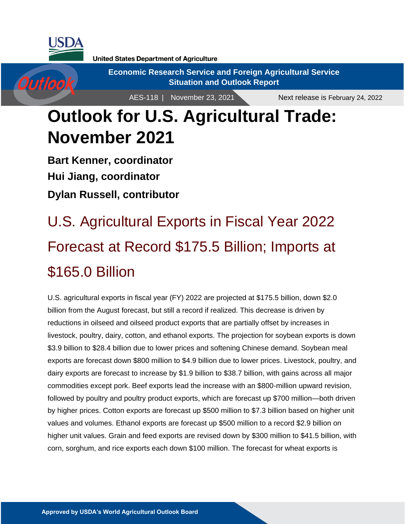

Outlook

**United States Department of Agriculture** 

**Economic Research Service and Foreign Agricultural Service Situation and Outlook Report**

AES-118 | November 23, 2021

Next release is February 24, 2022

## **Outlook for U.S. Agricultural Trade: November 2021**

**Bart Kenner, coordinator Hui Jiang, coordinator Dylan Russell, contributor**

# U.S. Agricultural Exports in Fiscal Year 2022 Forecast at Record \$175.5 Billion; Imports at \$165.0 Billion

U.S. agricultural exports in fiscal year (FY) 2022 are projected at \$175.5 billion, down \$2.0 billion from the August forecast, but still a record if realized. This decrease is driven by reductions in oilseed and oilseed product exports that are partially offset by increases in livestock, poultry, dairy, cotton, and ethanol exports. The projection for soybean exports is down \$3.9 billion to \$28.4 billion due to lower prices and softening Chinese demand. Soybean meal exports are forecast down \$800 million to \$4.9 billion due to lower prices. Livestock, poultry, and dairy exports are forecast to increase by \$1.9 billion to \$38.7 billion, with gains across all major commodities except pork. Beef exports lead the increase with an \$800-million upward revision, followed by poultry and poultry product exports, which are forecast up \$700 million—both driven by higher prices. Cotton exports are forecast up \$500 million to \$7.3 billion based on higher unit values and volumes. Ethanol exports are forecast up \$500 million to a record \$2.9 billion on higher unit values. Grain and feed exports are revised down by \$300 million to \$41.5 billion, with corn, sorghum, and rice exports each down \$100 million. The forecast for wheat exports is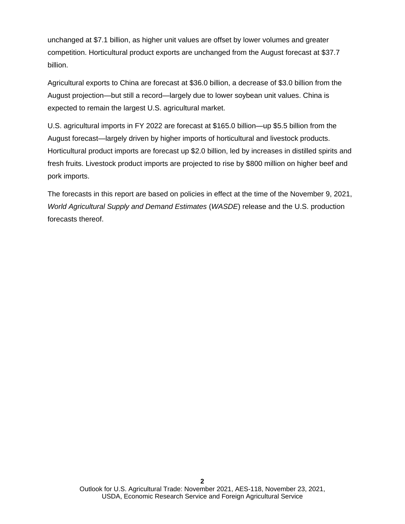unchanged at \$7.1 billion, as higher unit values are offset by lower volumes and greater competition. Horticultural product exports are unchanged from the August forecast at \$37.7 billion.

Agricultural exports to China are forecast at \$36.0 billion, a decrease of \$3.0 billion from the August projection—but still a record—largely due to lower soybean unit values. China is expected to remain the largest U.S. agricultural market.

U.S. agricultural imports in FY 2022 are forecast at \$165.0 billion—up \$5.5 billion from the August forecast—largely driven by higher imports of horticultural and livestock products. Horticultural product imports are forecast up \$2.0 billion, led by increases in distilled spirits and fresh fruits. Livestock product imports are projected to rise by \$800 million on higher beef and pork imports.

The forecasts in this report are based on policies in effect at the time of the November 9, 2021, *World Agricultural Supply and Demand Estimates* (*WASDE*) release and the U.S. production forecasts thereof.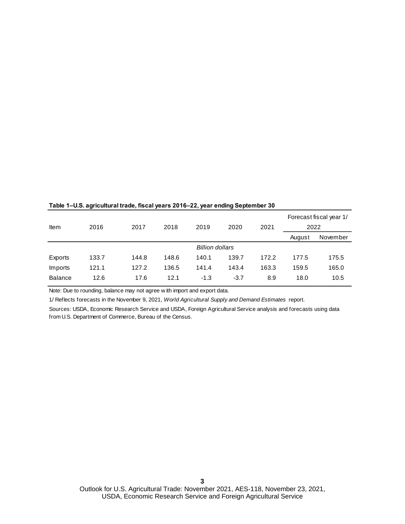|                |                        |       |       |        |        |       | Forecast fiscal year 1/ |          |  |  |  |
|----------------|------------------------|-------|-------|--------|--------|-------|-------------------------|----------|--|--|--|
| Item           | 2016                   | 2017  | 2018  | 2019   | 2020   | 2021  | 2022                    |          |  |  |  |
|                |                        |       |       |        |        |       | August                  | November |  |  |  |
|                | <b>Billion dollars</b> |       |       |        |        |       |                         |          |  |  |  |
| Exports        | 133.7                  | 144.8 | 148.6 | 140.1  | 139.7  | 172.2 | 177.5                   | 175.5    |  |  |  |
| Imports        | 121.1                  | 127.2 | 136.5 | 141.4  | 143.4  | 163.3 | 159.5                   | 165.0    |  |  |  |
| <b>Balance</b> | 12.6                   | 17.6  | 12.1  | $-1.3$ | $-3.7$ | 8.9   | 18.0                    | 10.5     |  |  |  |

#### **Table 1–U.S. agricultural trade, fiscal years 2016–22, year ending September 30**

Note: Due to rounding, balance may not agree w ith import and export data.

1/ Reflects forecasts in the November 9, 2021, *World Agricultural Supply and Demand Estimates* report.

Sources: USDA, Economic Research Service and USDA, Foreign Agricultural Service analysis and forecasts using data from U.S. Department of Commerce, Bureau of the Census.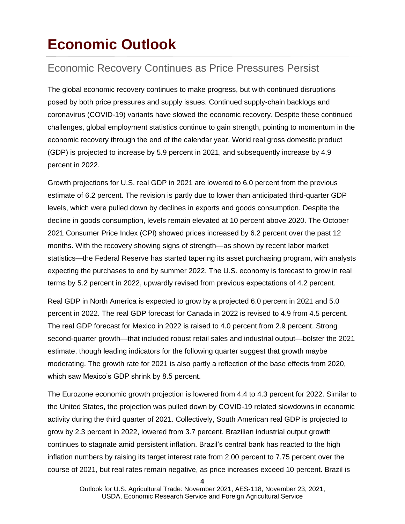### **Economic Outlook**

### Economic Recovery Continues as Price Pressures Persist

The global economic recovery continues to make progress, but with continued disruptions posed by both price pressures and supply issues. Continued supply-chain backlogs and coronavirus (COVID-19) variants have slowed the economic recovery. Despite these continued challenges, global employment statistics continue to gain strength, pointing to momentum in the economic recovery through the end of the calendar year. World real gross domestic product (GDP) is projected to increase by 5.9 percent in 2021, and subsequently increase by 4.9 percent in 2022.

Growth projections for U.S. real GDP in 2021 are lowered to 6.0 percent from the previous estimate of 6.2 percent. The revision is partly due to lower than anticipated third-quarter GDP levels, which were pulled down by declines in exports and goods consumption. Despite the decline in goods consumption, levels remain elevated at 10 percent above 2020. The October 2021 Consumer Price Index (CPI) showed prices increased by 6.2 percent over the past 12 months. With the recovery showing signs of strength—as shown by recent labor market statistics—the Federal Reserve has started tapering its asset purchasing program, with analysts expecting the purchases to end by summer 2022. The U.S. economy is forecast to grow in real terms by 5.2 percent in 2022, upwardly revised from previous expectations of 4.2 percent.

Real GDP in North America is expected to grow by a projected 6.0 percent in 2021 and 5.0 percent in 2022. The real GDP forecast for Canada in 2022 is revised to 4.9 from 4.5 percent. The real GDP forecast for Mexico in 2022 is raised to 4.0 percent from 2.9 percent. Strong second-quarter growth—that included robust retail sales and industrial output—bolster the 2021 estimate, though leading indicators for the following quarter suggest that growth maybe moderating. The growth rate for 2021 is also partly a reflection of the base effects from 2020, which saw Mexico's GDP shrink by 8.5 percent.

The Eurozone economic growth projection is lowered from 4.4 to 4.3 percent for 2022. Similar to the United States, the projection was pulled down by COVID-19 related slowdowns in economic activity during the third quarter of 2021. Collectively, South American real GDP is projected to grow by 2.3 percent in 2022, lowered from 3.7 percent. Brazilian industrial output growth continues to stagnate amid persistent inflation. Brazil's central bank has reacted to the high inflation numbers by raising its target interest rate from 2.00 percent to 7.75 percent over the course of 2021, but real rates remain negative, as price increases exceed 10 percent. Brazil is

**4**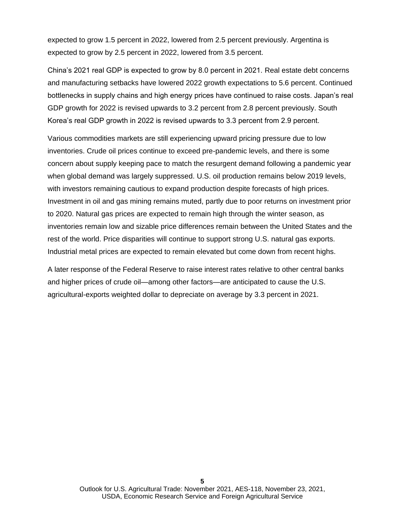expected to grow 1.5 percent in 2022, lowered from 2.5 percent previously. Argentina is expected to grow by 2.5 percent in 2022, lowered from 3.5 percent.

China's 2021 real GDP is expected to grow by 8.0 percent in 2021. Real estate debt concerns and manufacturing setbacks have lowered 2022 growth expectations to 5.6 percent. Continued bottlenecks in supply chains and high energy prices have continued to raise costs. Japan's real GDP growth for 2022 is revised upwards to 3.2 percent from 2.8 percent previously. South Korea's real GDP growth in 2022 is revised upwards to 3.3 percent from 2.9 percent.

Various commodities markets are still experiencing upward pricing pressure due to low inventories. Crude oil prices continue to exceed pre-pandemic levels, and there is some concern about supply keeping pace to match the resurgent demand following a pandemic year when global demand was largely suppressed. U.S. oil production remains below 2019 levels, with investors remaining cautious to expand production despite forecasts of high prices. Investment in oil and gas mining remains muted, partly due to poor returns on investment prior to 2020. Natural gas prices are expected to remain high through the winter season, as inventories remain low and sizable price differences remain between the United States and the rest of the world. Price disparities will continue to support strong U.S. natural gas exports. Industrial metal prices are expected to remain elevated but come down from recent highs.

A later response of the Federal Reserve to raise interest rates relative to other central banks and higher prices of crude oil—among other factors—are anticipated to cause the U.S. agricultural-exports weighted dollar to depreciate on average by 3.3 percent in 2021.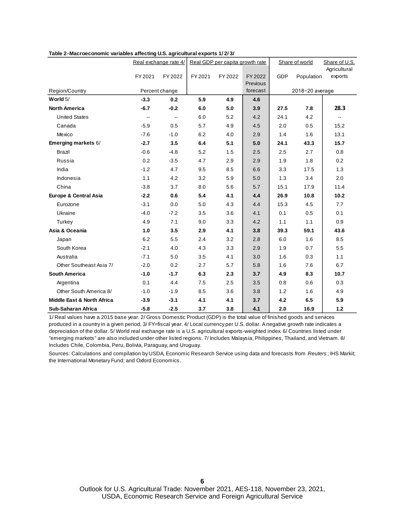|                                       |                          | Real exchange rate 4/    | Real GDP per capita growth rate |         |          | Share of world |                 | Share of U.S.<br>Agricultural |
|---------------------------------------|--------------------------|--------------------------|---------------------------------|---------|----------|----------------|-----------------|-------------------------------|
|                                       | FY 2021                  | FY 2022                  | FY 2021                         | FY 2022 | FY 2022  | <b>GDP</b>     | Population      | exports                       |
|                                       |                          |                          |                                 |         | Previous |                |                 |                               |
| Region/Country                        |                          | Percent change           |                                 |         | forecast |                | 2018-20 average |                               |
| World $5/$                            | $-3.3$                   | 0.2                      | 5.9                             | 4.9     | 4.6      |                |                 |                               |
| <b>North America</b>                  | $-6.7$                   | $-0.2$                   | 6.0                             | 5.0     | 3.9      | 27.5           | 7.8             | 28.3                          |
| <b>United States</b>                  | $\overline{\phantom{a}}$ | $\overline{\phantom{a}}$ | 6.0                             | 5.2     | 4.2      | 24.1           | 4.2             | --                            |
| Canada                                | $-5.9$                   | 0.5                      | 5.7                             | 4.9     | 4.5      | 2.0            | 0.5             | 15.2                          |
| Mexico                                | $-7.6$                   | $-1.0$                   | 6.2                             | 4.0     | 2.9      | 1.4            | 1.6             | 13.1                          |
| Emerging markets 6/                   | $-2.7$                   | 3.5                      | 6.4                             | 5.1     | 5.0      | 24.1           | 43.3            | 15.7                          |
| Brazil                                | $-0.6$                   | $-4.8$                   | 5.2                             | 1.5     | 2.5      | 2.5            | 2.7             | 0.8                           |
| Russia                                | 0.2                      | $-3.5$                   | 4.7                             | 2.9     | 2.9      | 1.9            | 1.8             | 0.2                           |
| India                                 | $-1.2$                   | 4.7                      | 9.5                             | 8.5     | 6.6      | 3.3            | 17.5            | 1.3                           |
| Indonesia                             | 1.1                      | 4.2                      | 3.2                             | 5.9     | 5.0      | 1.3            | 3.4             | 2.0                           |
| China                                 | $-3.8$                   | 3.7                      | 8.0                             | 5.6     | 5.7      | 15.1           | 17.9            | 11.4                          |
| Europe & Central Asia                 | $-2.2$                   | 0.6                      | 5.4                             | 4.1     | 4.4      | 26.9           | 10.8            | 10.2                          |
| Eurozone                              | $-3.1$                   | 0.0                      | 5.0                             | 4.3     | 4.4      | 15.3           | 4.5             | 7.7                           |
| Ukraine                               | $-4.0$                   | $-7.2$                   | 3.5                             | 3.6     | 4.1      | 0.1            | 0.5             | 0.1                           |
| Turkey                                | 4.9                      | 7.1                      | 9.0                             | 3.3     | 4.2      | 1.1            | 1.1             | 0.9                           |
| Asia & Oceania                        | 1.0                      | 3.5                      | 2.9                             | 4.1     | 3.8      | 39.3           | 59.1            | 43.6                          |
| Japan                                 | 6.2                      | 5.5                      | 2.4                             | 3.2     | 2.8      | 6.0            | 1.6             | 8.5                           |
| South Korea                           | $-2.1$                   | 4.0                      | 4.3                             | 3.3     | 2.9      | 1.9            | 0.7             | 5.5                           |
| Australia                             | $-7.1$                   | 5.0                      | 3.5                             | 4.1     | 3.0      | 1.6            | 0.3             | 1.1                           |
| Other Southeast Asia 7/               | $-2.0$                   | 0.2                      | 2.7                             | 5.7     | 5.8      | 1.6            | 7.6             | 6.7                           |
| <b>South America</b>                  | $-1.0$                   | $-1.7$                   | 6.3                             | 2.3     | 3.7      | 4.9            | 8.3             | 10.7                          |
| Argentina                             | 0.1                      | 4.4                      | 7.5                             | 2.5     | 3.5      | 0.8            | 0.6             | 0.3                           |
| Other South America 8/                | $-1.0$                   | $-1.9$                   | 8.5                             | 3.6     | 3.8      | 1.2            | 1.6             | 4.9                           |
| <b>Middle East &amp; North Africa</b> | $-3.9$                   | $-3.1$                   | 4.1                             | 4.1     | 3.7      | 4.2            | 6.5             | 5.9                           |
| Sub-Saharan Africa                    | $-5.8$                   | $-2.5$                   | 3.7                             | 3.8     | 4.1      | 2.0            | 16.9            | 1.2                           |

#### **Table 2−Macroeconomic variables affecting U.S. agricultural exports 1/ 2/ 3/**

1/ Real values have a 2015 base year. 2/ Gross Domestic Product (GDP) is the total value of finished goods and services produced in a country in a given period. 3/ FY=fiscal year. 4/ Local currency per U.S. dollar. A negative growth rate indicates a depreciation of the dollar. 5/ World real exchange rate is a U.S. agricultural exports-weighted index. 6/ Countries listed under "emerging markets" are also included under other listed regions. 7/ Includes Malaysia, Philippines, Thailand, and Vietnam. 8/ Includes Chile, Colombia, Peru, Bolivia, Paraguay, and Uruguay.

Sources: Calculations and compilation by USDA, Economic Research Service using data and forecasts from *Reuters* ; IHS Markit; the International Monetary Fund; and Oxford Economics.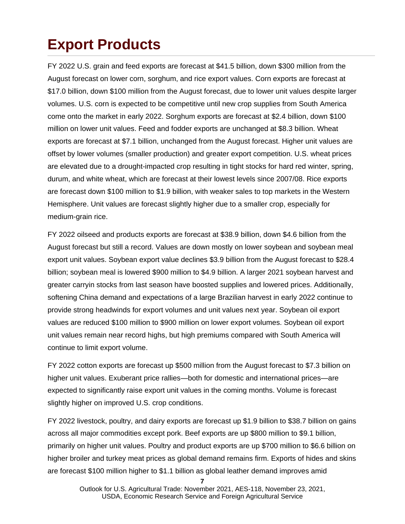## **Export Products**

FY 2022 U.S. grain and feed exports are forecast at \$41.5 billion, down \$300 million from the August forecast on lower corn, sorghum, and rice export values. Corn exports are forecast at \$17.0 billion, down \$100 million from the August forecast, due to lower unit values despite larger volumes. U.S. corn is expected to be competitive until new crop supplies from South America come onto the market in early 2022. Sorghum exports are forecast at \$2.4 billion, down \$100 million on lower unit values. Feed and fodder exports are unchanged at \$8.3 billion. Wheat exports are forecast at \$7.1 billion, unchanged from the August forecast. Higher unit values are offset by lower volumes (smaller production) and greater export competition. U.S. wheat prices are elevated due to a drought-impacted crop resulting in tight stocks for hard red winter, spring, durum, and white wheat, which are forecast at their lowest levels since 2007/08. Rice exports are forecast down \$100 million to \$1.9 billion, with weaker sales to top markets in the Western Hemisphere. Unit values are forecast slightly higher due to a smaller crop, especially for medium-grain rice.

FY 2022 oilseed and products exports are forecast at \$38.9 billion, down \$4.6 billion from the August forecast but still a record. Values are down mostly on lower soybean and soybean meal export unit values. Soybean export value declines \$3.9 billion from the August forecast to \$28.4 billion; soybean meal is lowered \$900 million to \$4.9 billion. A larger 2021 soybean harvest and greater carryin stocks from last season have boosted supplies and lowered prices. Additionally, softening China demand and expectations of a large Brazilian harvest in early 2022 continue to provide strong headwinds for export volumes and unit values next year. Soybean oil export values are reduced \$100 million to \$900 million on lower export volumes. Soybean oil export unit values remain near record highs, but high premiums compared with South America will continue to limit export volume.

FY 2022 cotton exports are forecast up \$500 million from the August forecast to \$7.3 billion on higher unit values. Exuberant price rallies—both for domestic and international prices—are expected to significantly raise export unit values in the coming months. Volume is forecast slightly higher on improved U.S. crop conditions.

FY 2022 livestock, poultry, and dairy exports are forecast up \$1.9 billion to \$38.7 billion on gains across all major commodities except pork. Beef exports are up \$800 million to \$9.1 billion, primarily on higher unit values. Poultry and product exports are up \$700 million to \$6.6 billion on higher broiler and turkey meat prices as global demand remains firm. Exports of hides and skins are forecast \$100 million higher to \$1.1 billion as global leather demand improves amid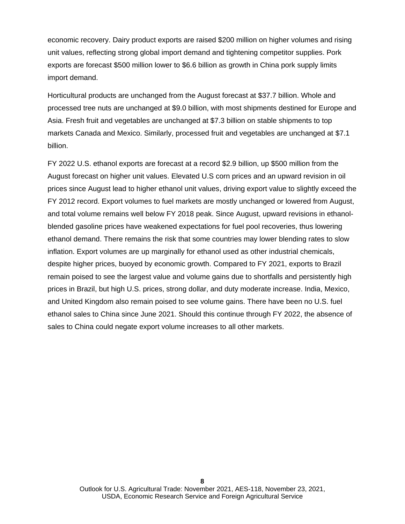economic recovery. Dairy product exports are raised \$200 million on higher volumes and rising unit values, reflecting strong global import demand and tightening competitor supplies. Pork exports are forecast \$500 million lower to \$6.6 billion as growth in China pork supply limits import demand.

Horticultural products are unchanged from the August forecast at \$37.7 billion. Whole and processed tree nuts are unchanged at \$9.0 billion, with most shipments destined for Europe and Asia. Fresh fruit and vegetables are unchanged at \$7.3 billion on stable shipments to top markets Canada and Mexico. Similarly, processed fruit and vegetables are unchanged at \$7.1 billion.

FY 2022 U.S. ethanol exports are forecast at a record \$2.9 billion, up \$500 million from the August forecast on higher unit values. Elevated U.S corn prices and an upward revision in oil prices since August lead to higher ethanol unit values, driving export value to slightly exceed the FY 2012 record. Export volumes to fuel markets are mostly unchanged or lowered from August, and total volume remains well below FY 2018 peak. Since August, upward revisions in ethanolblended gasoline prices have weakened expectations for fuel pool recoveries, thus lowering ethanol demand. There remains the risk that some countries may lower blending rates to slow inflation. Export volumes are up marginally for ethanol used as other industrial chemicals, despite higher prices, buoyed by economic growth. Compared to FY 2021, exports to Brazil remain poised to see the largest value and volume gains due to shortfalls and persistently high prices in Brazil, but high U.S. prices, strong dollar, and duty moderate increase. India, Mexico, and United Kingdom also remain poised to see volume gains. There have been no U.S. fuel ethanol sales to China since June 2021. Should this continue through FY 2022, the absence of sales to China could negate export volume increases to all other markets.

**8**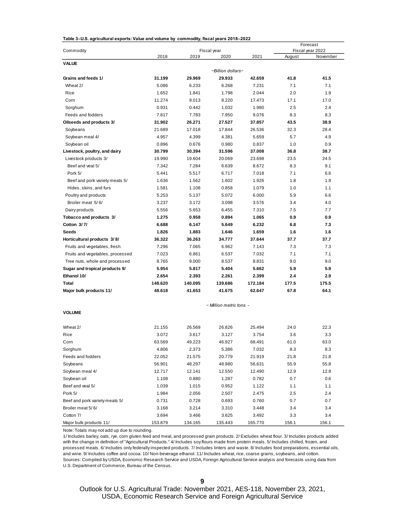| Table 3-U.S. agricultural exports: Value and volume by commodity, fiscal years 2018-2022 |
|------------------------------------------------------------------------------------------|
|------------------------------------------------------------------------------------------|

|                                  |                  |                  |                         | Forecast         |              |                              |
|----------------------------------|------------------|------------------|-------------------------|------------------|--------------|------------------------------|
| Commodity                        | 2018             | 2019             | Fiscal year<br>2020     | 2021             | August       | Fiscal year 2022<br>November |
| <b>VALUE</b>                     |                  |                  |                         |                  |              |                              |
|                                  |                  |                  | -Billion dollars-       |                  |              |                              |
| Grains and feeds 1/              | 31.199           | 29.969           | 29.933                  | 42.659           | 41.8         | 41.5                         |
| Wheat 2/                         | 5.086            | 6.233            | 6.268                   | 7.231            | 7.1          | 7.1                          |
| Rice                             | 1.652            | 1.841            | 1.798                   | 2.044            | 2.0          | 1.9                          |
| Corn                             | 11.274           | 9.013            | 8.220                   | 17.473           | 17.1         | 17.0                         |
| Sorghum                          | 0.931            | 0.442            | 1.032                   | 1.980            | 2.5          | 2.4                          |
| Feeds and fodders                | 7.817            | 7.783            | 7.950                   | 9.076            | 8.3          | 8.3                          |
| Oilseeds and products 3/         | 31.902           | 26.271           | 27.527                  | 37.857           | 43.5         | 38.9                         |
| Soybeans                         | 21.689           | 17.018           | 17.844                  | 26.536           | 32.3         | 28.4                         |
| Soybean meal 4/                  | 4.957            | 4.399            | 4.381                   | 5.659            | 5.7          | 4.9                          |
| Soybean oil                      | 0.896            | 0.676            | 0.980                   | 0.837            | 1.0          | 0.9                          |
| Livestock, poultry, and dairy    | 30.799           | 30.394           | 31.596                  | 37.008           | 36.8         | 38.7                         |
| Livestock products 3/            | 19.990           | 19.604           | 20.069                  | 23.698           | 23.5         | 24.5                         |
| Beef and yeal 5/                 | 7.342            | 7.284            | 6.639                   | 8.672            | 8.3          | 9.1                          |
| Pork 5/                          | 5.441            | 5.517            | 6.717                   | 7.018            | 7.1          | 6.6                          |
| Beef and pork variety meats 5/   | 1.636            | 1.562            | 1.602                   | 1.926            | 1.8          | 1.9                          |
| Hides, skins, and furs           | 1.581            | 1.108            | 0.858                   | 1.079            | 1.0          | 1.1                          |
| Poultry and products             | 5.253            | 5.137            | 5.072                   | 6.000            | 5.9          | 6.6                          |
| Broiler meat 5/6/                | 3.237            | 3.172            | 3.098                   | 3.576            | 3.4          | 4.0                          |
| Dairy products                   | 5.556            | 5.653            | 6.455                   | 7.310            | 7.5          | 7.7                          |
| Tobacco and products 3/          | 1.275            | 0.958            | 0.894                   | 1.065            | 0.9          | 0.9                          |
| Cotton 3/7/                      | 6.688            | 6.147            | 5.649                   | 6.232            | 6.8          | 7.3                          |
| Seeds                            | 1.826            | 1.883            | 1.646                   | 1.659            | 1.6          | 1.6                          |
| Horticultural products 3/8/      | 36.322           | 36.263           | 34.777                  | 37.644           | 37.7         | 37.7                         |
| Fruits and vegetables, fresh     | 7.296            | 7.065            | 6.962                   | 7.143            | 7.3          | 7.3                          |
| Fruits and vegetables, processed | 7.023            | 6.861            | 6.537                   | 7.032            | 7.1          | 7.1                          |
| Tree nuts, whole and processed   | 8.765            | 9.000            | 8.537                   | 8.831            | 9.0          | 9.0                          |
| Sugar and tropical products 9/   | 5.954            | 5.817            | 5.404                   | 5.662            | 5.9          | 5.9                          |
| Ethanol 10/                      | 2.654            | 2.393            | 2.261                   | 2.399            | 2.4          | 2.9                          |
| Total                            | 148.620          | 140.095          | 139.686                 | 172.184          | 177.5        | 175.5                        |
| Major bulk products 11/          | 48.618           | 41.653           | 41.675                  | 62.647           | 67.8         | 64.1                         |
|                                  |                  |                  |                         |                  |              |                              |
|                                  |                  |                  | - Million metric tons - |                  |              |                              |
| <b>VOLUME</b>                    |                  |                  |                         |                  |              |                              |
|                                  |                  |                  |                         |                  |              |                              |
| Wheat 2/                         | 21.155           | 26.569<br>3.617  | 26.826                  | 25.494<br>3.754  | 24.0         | 22.3                         |
| Rice                             | 3.072            |                  | 3.127                   |                  | 3.6          | 3.3                          |
| Corn<br>Sorghum                  | 63.569           | 49.223           | 46.927                  | 68.491           | 61.0         | 63.0<br>8.3                  |
| Feeds and fodders                | 4.806            | 2.373            | 5.386                   | 7.032<br>21.919  | 8.3          |                              |
|                                  | 22.052           | 21.575           | 20.779                  |                  | 21.8         | 21.8                         |
| Soybeans<br>Soybean meal 4/      | 56.901<br>12.717 | 48.297<br>12.141 | 48.980<br>12.550        | 56.631<br>12.490 | 55.9<br>12.9 | 55.8<br>12.9                 |
|                                  |                  |                  |                         |                  |              |                              |
| Soybean oil<br>Beef and veal 5/  | 1.108<br>1.039   | 0.880            | 1.287                   | 0.782            | 0.7          | 0.6<br>1.1                   |
| Pork 5/                          | 1.984            | 1.015            | 0.952                   | 1.122            | 1.1          | 2.4                          |
| Beef and pork variety meats 5/   | 0.731            | 2.056<br>0.728   | 2.507<br>0.693          | 2.475<br>0.760   | 2.5<br>0.7   | 0.7                          |
| Broiler meat 5/6/                | 3.168            | 3.214            | 3.310                   | 3.448            | 3.4          | 3.4                          |
| Cotton 7/                        | 3.694            | 3.466            | 3.625                   | 3.492            | 3.3          | 3.4                          |
|                                  |                  |                  |                         |                  |              |                              |

Note: Totals may not add up due to rounding.

Sources: Compiled by USDA, Economic Research Service and USDA, Foreign Agricultural Service analysis and forecasts using data from U.S. Department of Commerce, Bureau of the Census. 1/ Includes barley, oats, rye, corn gluten feed and meal, and processed grain products. 2/ Excludes wheat flour. 3/ Includes products added with the change in definition of "Agricultural Products." 4/ Includes soy flours made from protein meals. 5/ Includes chilled, frozen, and processed meats. 6/ Includes only federally inspected products. 7/ Includes linters and waste. 8/ Includes food preparations, essential oils, and wine. 9/ Includes coffee and cocoa. 10/ Non-beverage ethanol. 11/ Includes wheat, rice, coarse grains, soybeans, and cotton.

Major bulk products 11/ 153.879 134.165 135.443 165.770 156.1 156.1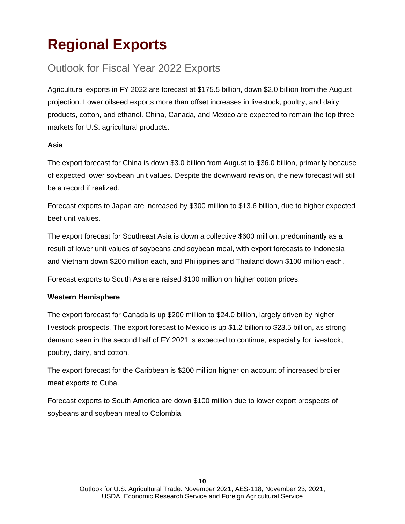## **Regional Exports**

### Outlook for Fiscal Year 2022 Exports

Agricultural exports in FY 2022 are forecast at \$175.5 billion, down \$2.0 billion from the August projection. Lower oilseed exports more than offset increases in livestock, poultry, and dairy products, cotton, and ethanol. China, Canada, and Mexico are expected to remain the top three markets for U.S. agricultural products.

#### **Asia**

The export forecast for China is down \$3.0 billion from August to \$36.0 billion, primarily because of expected lower soybean unit values. Despite the downward revision, the new forecast will still be a record if realized.

Forecast exports to Japan are increased by \$300 million to \$13.6 billion, due to higher expected beef unit values.

The export forecast for Southeast Asia is down a collective \$600 million, predominantly as a result of lower unit values of soybeans and soybean meal, with export forecasts to Indonesia and Vietnam down \$200 million each, and Philippines and Thailand down \$100 million each.

Forecast exports to South Asia are raised \$100 million on higher cotton prices.

#### **Western Hemisphere**

The export forecast for Canada is up \$200 million to \$24.0 billion, largely driven by higher livestock prospects. The export forecast to Mexico is up \$1.2 billion to \$23.5 billion, as strong demand seen in the second half of FY 2021 is expected to continue, especially for livestock, poultry, dairy, and cotton.

The export forecast for the Caribbean is \$200 million higher on account of increased broiler meat exports to Cuba.

Forecast exports to South America are down \$100 million due to lower export prospects of soybeans and soybean meal to Colombia.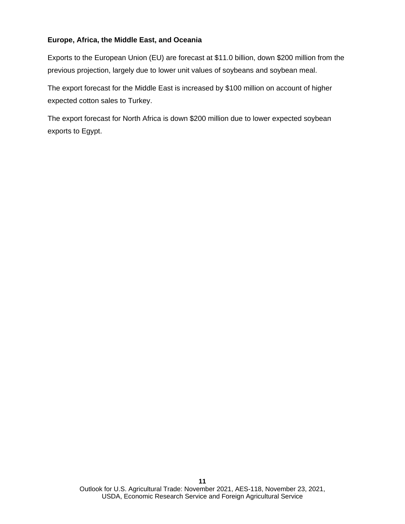#### **Europe, Africa, the Middle East, and Oceania**

Exports to the European Union (EU) are forecast at \$11.0 billion, down \$200 million from the previous projection, largely due to lower unit values of soybeans and soybean meal.

The export forecast for the Middle East is increased by \$100 million on account of higher expected cotton sales to Turkey.

The export forecast for North Africa is down \$200 million due to lower expected soybean exports to Egypt.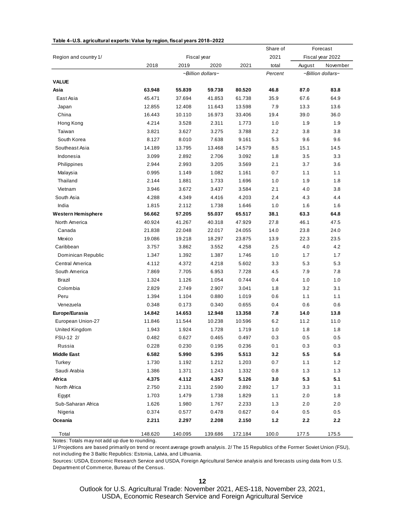| Table 4-U.S. agricultural exports: Value by region, fiscal years 2018-2022 |
|----------------------------------------------------------------------------|
|----------------------------------------------------------------------------|

|                           |         |         |                   |         | Share of | Forecast<br>Fiscal year 2022 |                   |  |
|---------------------------|---------|---------|-------------------|---------|----------|------------------------------|-------------------|--|
| Region and country 1/     |         |         | Fiscal year       |         | 2021     |                              |                   |  |
|                           | 2018    | 2019    | 2020              | 2021    | total    | August                       | November          |  |
|                           |         |         | -Billion dollars- |         | Percent  |                              | -Billion dollars- |  |
| <b>VALUE</b>              |         |         |                   |         |          |                              |                   |  |
| Asia                      | 63.948  | 55.839  | 59.738            | 80.520  | 46.8     | 87.0                         | 83.8              |  |
| East Asia                 | 45.471  | 37.694  | 41.853            | 61.738  | 35.9     | 67.6                         | 64.9              |  |
| Japan                     | 12.855  | 12.408  | 11.643            | 13.598  | 7.9      | 13.3                         | 13.6              |  |
| China                     | 16.443  | 10.110  | 16.973            | 33.406  | 19.4     | 39.0                         | 36.0              |  |
| Hong Kong                 | 4.214   | 3.528   | 2.311             | 1.773   | 1.0      | 1.9                          | 1.9               |  |
| Taiwan                    | 3.821   | 3.627   | 3.275             | 3.788   | 2.2      | 3.8                          | 3.8               |  |
| South Korea               | 8.127   | 8.010   | 7.638             | 9.161   | 5.3      | 9.6                          | 9.6               |  |
| Southeast Asia            | 14.189  | 13.795  | 13.468            | 14.579  | 8.5      | 15.1                         | 14.5              |  |
| Indonesia                 | 3.099   | 2.892   | 2.706             | 3.092   | 1.8      | 3.5                          | 3.3               |  |
| Philippines               | 2.944   | 2.993   | 3.205             | 3.569   | 2.1      | 3.7                          | 3.6               |  |
| Malaysia                  | 0.995   | 1.149   | 1.082             | 1.161   | 0.7      | 1.1                          | 1.1               |  |
| Thailand                  | 2.144   | 1.881   | 1.733             | 1.696   | 1.0      | 1.9                          | 1.8               |  |
| Vietnam                   | 3.946   | 3.672   | 3.437             | 3.584   | 2.1      | 4.0                          | 3.8               |  |
| South Asia                | 4.288   | 4.349   | 4.416             | 4.203   | 2.4      | 4.3                          | 4.4               |  |
| India                     | 1.815   | 2.112   | 1.738             | 1.646   | 1.0      | 1.6                          | 1.6               |  |
| <b>Western Hemisphere</b> | 56.662  | 57.205  | 55.037            | 65.517  | 38.1     | 63.3                         | 64.8              |  |
| North America             | 40.924  | 41.267  | 40.318            | 47.929  | 27.8     | 46.1                         | 47.5              |  |
| Canada                    | 21.838  | 22.048  | 22.017            | 24.055  | 14.0     | 23.8                         | 24.0              |  |
| Mexico                    | 19.086  | 19.218  | 18.297            | 23.875  | 13.9     | 22.3                         | 23.5              |  |
| Caribbean                 | 3.757   | 3.862   | 3.552             | 4.258   | 2.5      | 4.0                          | 4.2               |  |
| Dominican Republic        | 1.347   | 1.392   | 1.387             | 1.746   | 1.0      | 1.7                          | 1.7               |  |
| Central America           | 4.112   | 4.372   | 4.218             | 5.602   | 3.3      | 5.3                          | 5.3               |  |
| South America             | 7.869   | 7.705   | 6.953             | 7.728   | 4.5      | 7.9                          | 7.8               |  |
| Brazil                    | 1.324   | 1.126   | 1.054             | 0.744   | 0.4      | 1.0                          | 1.0               |  |
| Colombia                  | 2.829   | 2.749   | 2.907             | 3.041   | 1.8      | 3.2                          | 3.1               |  |
| Peru                      | 1.394   | 1.104   | 0.880             | 1.019   | 0.6      | 1.1                          | 1.1               |  |
| Venezuela                 | 0.348   | 0.173   | 0.340             | 0.655   | 0.4      | 0.6                          | 0.6               |  |
| Europe/Eurasia            | 14.842  | 14.653  | 12.948            | 13.358  | 7.8      | 14.0                         | 13.8              |  |
| European Union-27         | 11.846  | 11.544  | 10.238            | 10.596  | 6.2      | 11.2                         | 11.0              |  |
| United Kingdom            | 1.943   | 1.924   | 1.728             | 1.719   | 1.0      | 1.8                          | 1.8               |  |
| FSU-12 2/                 | 0.482   | 0.627   | 0.465             | 0.497   | 0.3      | 0.5                          | 0.5               |  |
| Russia                    | 0.228   | 0.230   | 0.195             | 0.236   | 0.1      | 0.3                          | 0.3               |  |
| <b>Middle East</b>        | 6.582   | 5.990   | 5.395             | 5.513   | 3.2      | 5.5                          | 5.6               |  |
| Turkey                    | 1.730   | 1.192   | 1.212             | 1.203   | 0.7      | 1.1                          | 1.2               |  |
| Saudi Arabia              | 1.386   | 1.371   | 1.243             | 1.332   | 0.8      | 1.3                          | 1.3               |  |
| Africa                    | 4.375   | 4.112   | 4.357             | 5.126   | 3.0      | 5.3                          | 5.1               |  |
| North Africa              | 2.750   | 2.131   | 2.590             | 2.892   | 1.7      | 3.3                          | 3.1               |  |
| Egypt                     | 1.703   | 1.479   | 1.738             | 1.829   | 1.1      | 2.0                          | 1.8               |  |
| Sub-Saharan Africa        | 1.626   | 1.980   | 1.767             | 2.233   | 1.3      | 2.0                          | 2.0               |  |
| Nigeria                   | 0.374   | 0.577   | 0.478             | 0.627   | 0.4      | 0.5                          | 0.5               |  |
| Oceania                   | 2.211   | 2.297   | 2.208             | 2.150   | $1.2$    | 2.2                          | 2.2               |  |
| Total                     | 148.620 | 140.095 | 139.686           | 172.184 | 100.0    | 177.5                        | 175.5             |  |
|                           |         |         |                   |         |          |                              |                   |  |

Notes: Totals may not add up due to rounding.

1/ Projections are based primarily on trend or recent average growth analysis. 2/ The 15 Republics of the Former Soviet Union (FSU), not including the 3 Baltic Republics: Estonia, Latvia, and Lithuania.

Sources: USDA, Economic Research Service and USDA, Foreign Agricultural Service analysis and forecasts using data from U.S. Department of Commerce, Bureau of the Census.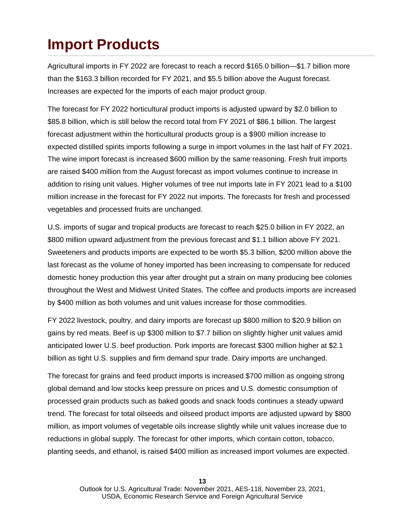### **Import Products**

Agricultural imports in FY 2022 are forecast to reach a record \$165.0 billion—\$1.7 billion more than the \$163.3 billion recorded for FY 2021, and \$5.5 billion above the August forecast. Increases are expected for the imports of each major product group.

The forecast for FY 2022 horticultural product imports is adjusted upward by \$2.0 billion to \$85.8 billion, which is still below the record total from FY 2021 of \$86.1 billion. The largest forecast adjustment within the horticultural products group is a \$900 million increase to expected distilled spirits imports following a surge in import volumes in the last half of FY 2021. The wine import forecast is increased \$600 million by the same reasoning. Fresh fruit imports are raised \$400 million from the August forecast as import volumes continue to increase in addition to rising unit values. Higher volumes of tree nut imports late in FY 2021 lead to a \$100 million increase in the forecast for FY 2022 nut imports. The forecasts for fresh and processed vegetables and processed fruits are unchanged.

U.S. imports of sugar and tropical products are forecast to reach \$25.0 billion in FY 2022, an \$800 million upward adjustment from the previous forecast and \$1.1 billion above FY 2021. Sweeteners and products imports are expected to be worth \$5.3 billion, \$200 million above the last forecast as the volume of honey imported has been increasing to compensate for reduced domestic honey production this year after drought put a strain on many producing bee colonies throughout the West and Midwest United States. The coffee and products imports are increased by \$400 million as both volumes and unit values increase for those commodities.

FY 2022 livestock, poultry, and dairy imports are forecast up \$800 million to \$20.9 billion on gains by red meats. Beef is up \$300 million to \$7.7 billion on slightly higher unit values amid anticipated lower U.S. beef production. Pork imports are forecast \$300 million higher at \$2.1 billion as tight U.S. supplies and firm demand spur trade. Dairy imports are unchanged.

The forecast for grains and feed product imports is increased \$700 million as ongoing strong global demand and low stocks keep pressure on prices and U.S. domestic consumption of processed grain products such as baked goods and snack foods continues a steady upward trend. The forecast for total oilseeds and oilseed product imports are adjusted upward by \$800 million, as import volumes of vegetable oils increase slightly while unit values increase due to reductions in global supply. The forecast for other imports, which contain cotton, tobacco, planting seeds, and ethanol, is raised \$400 million as increased import volumes are expected.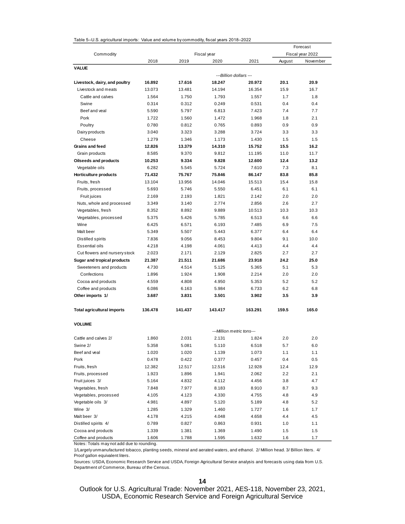|  | Table 5--U.S. agricultural imports: Value and volume by commodity, fiscal years 2018–2022 |  |  |  |
|--|-------------------------------------------------------------------------------------------|--|--|--|
|--|-------------------------------------------------------------------------------------------|--|--|--|

| Commodity<br>Fiscal year<br>Fiscal year 2022<br>2018<br>2019<br>2020<br>2021<br>August<br>November<br><b>VALUE</b><br>---Billion dollars ---<br>Livestock, dairy, and poultry<br>16.892<br>17.616<br>18.247<br>20.972<br>20.1<br>20.9<br>Livestock and meats<br>13.073<br>13.481<br>14.194<br>16.354<br>15.9<br>16.7<br>Cattle and calves<br>1.793<br>1.7<br>1.8<br>1.564<br>1.750<br>1.557<br>Swine<br>0.312<br>0.249<br>0.531<br>0.4<br>0.4<br>0.314<br>Beef and yeal<br>6.813<br>7.423<br>7.4<br>7.7<br>5.590<br>5.797<br>Pork<br>1.722<br>1.560<br>1.472<br>1.968<br>1.8<br>2.1<br>Poultry<br>0.780<br>0.812<br>0.765<br>0.893<br>0.9<br>0.9<br>3.040<br>3.323<br>3.288<br>3.724<br>3.3<br>3.3<br>Dairy products<br>Cheese<br>1.279<br>1.346<br>1.5<br>1.5<br>1.173<br>1.430<br>15.5<br>Grains and feed<br>12.826<br>13.379<br>14.310<br>15.752<br>16.2<br>8.585<br>9.370<br>9.812<br>11.0<br>11.7<br>Grain products<br>11.195<br><b>Oilseeds and products</b><br>10.253<br>9.334<br>9.828<br>12.600<br>12.4<br>13.2<br>Vegetable oils<br>6.282<br>5.545<br>5.724<br>7.610<br>7.3<br>8.1<br>85.8<br>Horticulture products<br>71.432<br>75.767<br>75.846<br>86.147<br>83.8<br>13.104<br>13.956<br>14.046<br>15.513<br>15.4<br>15.8<br>Fruits, fresh<br>6.1<br>6.1<br>Fruits, processed<br>5.693<br>5.746<br>5.550<br>6.451<br>2.193<br>1.821<br>2.0<br>2.0<br>Fruit juices<br>2.169<br>2.142<br>Nuts, whole and processed<br>3.349<br>3.140<br>2.774<br>2.856<br>2.6<br>2.7<br>Vegetables, fresh<br>8.352<br>8.892<br>9.889<br>10.513<br>10.3<br>10.3<br>5.375<br>5.426<br>5.785<br>6.513<br>6.6<br>6.6<br>Vegetables, processed<br>Wine<br>6.425<br>6.571<br>6.193<br>7.485<br>6.9<br>7.5<br>5.507<br>5.443<br>6.4<br>6.4<br>Malt beer<br>5.349<br>6.377<br>9.1<br>9.056<br>8.453<br>9.804<br>10.0<br>Distilled spirits<br>7.836<br><b>Essential oils</b><br>4.061<br>4.4<br>4.4<br>4.218<br>4.198<br>4.413<br>Cut flowers and nursery stock<br>2.023<br>2.171<br>2.129<br>2.825<br>2.7<br>2.7<br>Sugar and tropical products<br>21.387<br>21.511<br>21.686<br>23.918<br>24.2<br>25.0<br>Sweeteners and products<br>4.514<br>5.125<br>5.365<br>5.1<br>5.3<br>4.730<br>Confections<br>1.924<br>2.214<br>2.0<br>2.0<br>1.896<br>1.908<br>4.808<br>4.950<br>5.2<br>5.2<br>Cocoa and products<br>4.559<br>5.353<br>6.733<br>6.2<br>6.8<br>Coffee and products<br>6.086<br>6.163<br>5.984<br>Other imports 1/<br>3.831<br>3.501<br>3.902<br>3.5<br>3.9<br>3.687<br><b>Total agricultural imports</b><br>136.478<br>141.437<br>143.417<br>163.291<br>159.5<br>165.0<br><b>VOLUME</b><br>---Million metric tons---<br>Cattle and calves 2/<br>1.860<br>2.031<br>1.824<br>2.0<br>2.0<br>2.131<br>Swine 2/<br>5.358<br>5.081<br>5.110<br>6.518<br>5.7<br>6.0<br>Beef and veal<br>1.020<br>1.139<br>1.1<br>1.1<br>1.020<br>1.073<br>Pork<br>0.478<br>0.4<br>0.422<br>0.377<br>0.457<br>0.5<br>12.9<br>Fruits, fresh<br>12.382<br>12.517<br>12.516<br>12.928<br>12.4<br>Fruits, processed<br>1.923<br>1.896<br>1.941<br>2.062<br>2.2<br>2.1<br>Fruit juices 3/<br>5.164<br>4.832<br>4.112<br>4.456<br>3.8<br>4.7<br>Vegetables, fresh<br>7.848<br>7.977<br>8.183<br>8.910<br>8.7<br>9.3<br>Vegetables, processed<br>4.330<br>4.9<br>4.105<br>4.123<br>4.755<br>4.8<br>Vegetable oils 3/<br>4.981<br>4.897<br>5.120<br>5.189<br>4.8<br>5.2<br>Wine 3/<br>1.285<br>1.329<br>1.460<br>1.727<br>1.6<br>1.7<br>Malt beer 3/<br>4.048<br>4.4<br>4.178<br>4.215<br>4.658<br>4.5<br>Distilled spirits 4/<br>0.789<br>0.827<br>0.863<br>0.931<br>1.0<br>1.1<br>Cocoa and products<br>1.339<br>1.381<br>1.369<br>1.490<br>1.5<br>1.5<br>Coffee and products<br>1.606<br>1.788<br>1.595<br>1.632<br>1.6<br>1.7<br>Notes: Totals may not add due to rounding. |  |  | Forecast |  |  |  |
|--------------------------------------------------------------------------------------------------------------------------------------------------------------------------------------------------------------------------------------------------------------------------------------------------------------------------------------------------------------------------------------------------------------------------------------------------------------------------------------------------------------------------------------------------------------------------------------------------------------------------------------------------------------------------------------------------------------------------------------------------------------------------------------------------------------------------------------------------------------------------------------------------------------------------------------------------------------------------------------------------------------------------------------------------------------------------------------------------------------------------------------------------------------------------------------------------------------------------------------------------------------------------------------------------------------------------------------------------------------------------------------------------------------------------------------------------------------------------------------------------------------------------------------------------------------------------------------------------------------------------------------------------------------------------------------------------------------------------------------------------------------------------------------------------------------------------------------------------------------------------------------------------------------------------------------------------------------------------------------------------------------------------------------------------------------------------------------------------------------------------------------------------------------------------------------------------------------------------------------------------------------------------------------------------------------------------------------------------------------------------------------------------------------------------------------------------------------------------------------------------------------------------------------------------------------------------------------------------------------------------------------------------------------------------------------------------------------------------------------------------------------------------------------------------------------------------------------------------------------------------------------------------------------------------------------------------------------------------------------------------------------------------------------------------------------------------------------------------------------------------------------------------------------------------------------------------------------------------------------------------------------------------------------------------------------------------------------------------------------------------------------------------------------------------------------------------------------------------------------------------------------------------------------------------------------------------------------------------------------------------------------------------------------------------------------------------------------------------------------------|--|--|----------|--|--|--|
|                                                                                                                                                                                                                                                                                                                                                                                                                                                                                                                                                                                                                                                                                                                                                                                                                                                                                                                                                                                                                                                                                                                                                                                                                                                                                                                                                                                                                                                                                                                                                                                                                                                                                                                                                                                                                                                                                                                                                                                                                                                                                                                                                                                                                                                                                                                                                                                                                                                                                                                                                                                                                                                                                                                                                                                                                                                                                                                                                                                                                                                                                                                                                                                                                                                                                                                                                                                                                                                                                                                                                                                                                                                                                                                                            |  |  |          |  |  |  |
|                                                                                                                                                                                                                                                                                                                                                                                                                                                                                                                                                                                                                                                                                                                                                                                                                                                                                                                                                                                                                                                                                                                                                                                                                                                                                                                                                                                                                                                                                                                                                                                                                                                                                                                                                                                                                                                                                                                                                                                                                                                                                                                                                                                                                                                                                                                                                                                                                                                                                                                                                                                                                                                                                                                                                                                                                                                                                                                                                                                                                                                                                                                                                                                                                                                                                                                                                                                                                                                                                                                                                                                                                                                                                                                                            |  |  |          |  |  |  |
|                                                                                                                                                                                                                                                                                                                                                                                                                                                                                                                                                                                                                                                                                                                                                                                                                                                                                                                                                                                                                                                                                                                                                                                                                                                                                                                                                                                                                                                                                                                                                                                                                                                                                                                                                                                                                                                                                                                                                                                                                                                                                                                                                                                                                                                                                                                                                                                                                                                                                                                                                                                                                                                                                                                                                                                                                                                                                                                                                                                                                                                                                                                                                                                                                                                                                                                                                                                                                                                                                                                                                                                                                                                                                                                                            |  |  |          |  |  |  |
|                                                                                                                                                                                                                                                                                                                                                                                                                                                                                                                                                                                                                                                                                                                                                                                                                                                                                                                                                                                                                                                                                                                                                                                                                                                                                                                                                                                                                                                                                                                                                                                                                                                                                                                                                                                                                                                                                                                                                                                                                                                                                                                                                                                                                                                                                                                                                                                                                                                                                                                                                                                                                                                                                                                                                                                                                                                                                                                                                                                                                                                                                                                                                                                                                                                                                                                                                                                                                                                                                                                                                                                                                                                                                                                                            |  |  |          |  |  |  |
|                                                                                                                                                                                                                                                                                                                                                                                                                                                                                                                                                                                                                                                                                                                                                                                                                                                                                                                                                                                                                                                                                                                                                                                                                                                                                                                                                                                                                                                                                                                                                                                                                                                                                                                                                                                                                                                                                                                                                                                                                                                                                                                                                                                                                                                                                                                                                                                                                                                                                                                                                                                                                                                                                                                                                                                                                                                                                                                                                                                                                                                                                                                                                                                                                                                                                                                                                                                                                                                                                                                                                                                                                                                                                                                                            |  |  |          |  |  |  |
|                                                                                                                                                                                                                                                                                                                                                                                                                                                                                                                                                                                                                                                                                                                                                                                                                                                                                                                                                                                                                                                                                                                                                                                                                                                                                                                                                                                                                                                                                                                                                                                                                                                                                                                                                                                                                                                                                                                                                                                                                                                                                                                                                                                                                                                                                                                                                                                                                                                                                                                                                                                                                                                                                                                                                                                                                                                                                                                                                                                                                                                                                                                                                                                                                                                                                                                                                                                                                                                                                                                                                                                                                                                                                                                                            |  |  |          |  |  |  |
|                                                                                                                                                                                                                                                                                                                                                                                                                                                                                                                                                                                                                                                                                                                                                                                                                                                                                                                                                                                                                                                                                                                                                                                                                                                                                                                                                                                                                                                                                                                                                                                                                                                                                                                                                                                                                                                                                                                                                                                                                                                                                                                                                                                                                                                                                                                                                                                                                                                                                                                                                                                                                                                                                                                                                                                                                                                                                                                                                                                                                                                                                                                                                                                                                                                                                                                                                                                                                                                                                                                                                                                                                                                                                                                                            |  |  |          |  |  |  |
|                                                                                                                                                                                                                                                                                                                                                                                                                                                                                                                                                                                                                                                                                                                                                                                                                                                                                                                                                                                                                                                                                                                                                                                                                                                                                                                                                                                                                                                                                                                                                                                                                                                                                                                                                                                                                                                                                                                                                                                                                                                                                                                                                                                                                                                                                                                                                                                                                                                                                                                                                                                                                                                                                                                                                                                                                                                                                                                                                                                                                                                                                                                                                                                                                                                                                                                                                                                                                                                                                                                                                                                                                                                                                                                                            |  |  |          |  |  |  |
|                                                                                                                                                                                                                                                                                                                                                                                                                                                                                                                                                                                                                                                                                                                                                                                                                                                                                                                                                                                                                                                                                                                                                                                                                                                                                                                                                                                                                                                                                                                                                                                                                                                                                                                                                                                                                                                                                                                                                                                                                                                                                                                                                                                                                                                                                                                                                                                                                                                                                                                                                                                                                                                                                                                                                                                                                                                                                                                                                                                                                                                                                                                                                                                                                                                                                                                                                                                                                                                                                                                                                                                                                                                                                                                                            |  |  |          |  |  |  |
|                                                                                                                                                                                                                                                                                                                                                                                                                                                                                                                                                                                                                                                                                                                                                                                                                                                                                                                                                                                                                                                                                                                                                                                                                                                                                                                                                                                                                                                                                                                                                                                                                                                                                                                                                                                                                                                                                                                                                                                                                                                                                                                                                                                                                                                                                                                                                                                                                                                                                                                                                                                                                                                                                                                                                                                                                                                                                                                                                                                                                                                                                                                                                                                                                                                                                                                                                                                                                                                                                                                                                                                                                                                                                                                                            |  |  |          |  |  |  |
|                                                                                                                                                                                                                                                                                                                                                                                                                                                                                                                                                                                                                                                                                                                                                                                                                                                                                                                                                                                                                                                                                                                                                                                                                                                                                                                                                                                                                                                                                                                                                                                                                                                                                                                                                                                                                                                                                                                                                                                                                                                                                                                                                                                                                                                                                                                                                                                                                                                                                                                                                                                                                                                                                                                                                                                                                                                                                                                                                                                                                                                                                                                                                                                                                                                                                                                                                                                                                                                                                                                                                                                                                                                                                                                                            |  |  |          |  |  |  |
|                                                                                                                                                                                                                                                                                                                                                                                                                                                                                                                                                                                                                                                                                                                                                                                                                                                                                                                                                                                                                                                                                                                                                                                                                                                                                                                                                                                                                                                                                                                                                                                                                                                                                                                                                                                                                                                                                                                                                                                                                                                                                                                                                                                                                                                                                                                                                                                                                                                                                                                                                                                                                                                                                                                                                                                                                                                                                                                                                                                                                                                                                                                                                                                                                                                                                                                                                                                                                                                                                                                                                                                                                                                                                                                                            |  |  |          |  |  |  |
|                                                                                                                                                                                                                                                                                                                                                                                                                                                                                                                                                                                                                                                                                                                                                                                                                                                                                                                                                                                                                                                                                                                                                                                                                                                                                                                                                                                                                                                                                                                                                                                                                                                                                                                                                                                                                                                                                                                                                                                                                                                                                                                                                                                                                                                                                                                                                                                                                                                                                                                                                                                                                                                                                                                                                                                                                                                                                                                                                                                                                                                                                                                                                                                                                                                                                                                                                                                                                                                                                                                                                                                                                                                                                                                                            |  |  |          |  |  |  |
|                                                                                                                                                                                                                                                                                                                                                                                                                                                                                                                                                                                                                                                                                                                                                                                                                                                                                                                                                                                                                                                                                                                                                                                                                                                                                                                                                                                                                                                                                                                                                                                                                                                                                                                                                                                                                                                                                                                                                                                                                                                                                                                                                                                                                                                                                                                                                                                                                                                                                                                                                                                                                                                                                                                                                                                                                                                                                                                                                                                                                                                                                                                                                                                                                                                                                                                                                                                                                                                                                                                                                                                                                                                                                                                                            |  |  |          |  |  |  |
|                                                                                                                                                                                                                                                                                                                                                                                                                                                                                                                                                                                                                                                                                                                                                                                                                                                                                                                                                                                                                                                                                                                                                                                                                                                                                                                                                                                                                                                                                                                                                                                                                                                                                                                                                                                                                                                                                                                                                                                                                                                                                                                                                                                                                                                                                                                                                                                                                                                                                                                                                                                                                                                                                                                                                                                                                                                                                                                                                                                                                                                                                                                                                                                                                                                                                                                                                                                                                                                                                                                                                                                                                                                                                                                                            |  |  |          |  |  |  |
|                                                                                                                                                                                                                                                                                                                                                                                                                                                                                                                                                                                                                                                                                                                                                                                                                                                                                                                                                                                                                                                                                                                                                                                                                                                                                                                                                                                                                                                                                                                                                                                                                                                                                                                                                                                                                                                                                                                                                                                                                                                                                                                                                                                                                                                                                                                                                                                                                                                                                                                                                                                                                                                                                                                                                                                                                                                                                                                                                                                                                                                                                                                                                                                                                                                                                                                                                                                                                                                                                                                                                                                                                                                                                                                                            |  |  |          |  |  |  |
|                                                                                                                                                                                                                                                                                                                                                                                                                                                                                                                                                                                                                                                                                                                                                                                                                                                                                                                                                                                                                                                                                                                                                                                                                                                                                                                                                                                                                                                                                                                                                                                                                                                                                                                                                                                                                                                                                                                                                                                                                                                                                                                                                                                                                                                                                                                                                                                                                                                                                                                                                                                                                                                                                                                                                                                                                                                                                                                                                                                                                                                                                                                                                                                                                                                                                                                                                                                                                                                                                                                                                                                                                                                                                                                                            |  |  |          |  |  |  |
|                                                                                                                                                                                                                                                                                                                                                                                                                                                                                                                                                                                                                                                                                                                                                                                                                                                                                                                                                                                                                                                                                                                                                                                                                                                                                                                                                                                                                                                                                                                                                                                                                                                                                                                                                                                                                                                                                                                                                                                                                                                                                                                                                                                                                                                                                                                                                                                                                                                                                                                                                                                                                                                                                                                                                                                                                                                                                                                                                                                                                                                                                                                                                                                                                                                                                                                                                                                                                                                                                                                                                                                                                                                                                                                                            |  |  |          |  |  |  |
|                                                                                                                                                                                                                                                                                                                                                                                                                                                                                                                                                                                                                                                                                                                                                                                                                                                                                                                                                                                                                                                                                                                                                                                                                                                                                                                                                                                                                                                                                                                                                                                                                                                                                                                                                                                                                                                                                                                                                                                                                                                                                                                                                                                                                                                                                                                                                                                                                                                                                                                                                                                                                                                                                                                                                                                                                                                                                                                                                                                                                                                                                                                                                                                                                                                                                                                                                                                                                                                                                                                                                                                                                                                                                                                                            |  |  |          |  |  |  |
|                                                                                                                                                                                                                                                                                                                                                                                                                                                                                                                                                                                                                                                                                                                                                                                                                                                                                                                                                                                                                                                                                                                                                                                                                                                                                                                                                                                                                                                                                                                                                                                                                                                                                                                                                                                                                                                                                                                                                                                                                                                                                                                                                                                                                                                                                                                                                                                                                                                                                                                                                                                                                                                                                                                                                                                                                                                                                                                                                                                                                                                                                                                                                                                                                                                                                                                                                                                                                                                                                                                                                                                                                                                                                                                                            |  |  |          |  |  |  |
|                                                                                                                                                                                                                                                                                                                                                                                                                                                                                                                                                                                                                                                                                                                                                                                                                                                                                                                                                                                                                                                                                                                                                                                                                                                                                                                                                                                                                                                                                                                                                                                                                                                                                                                                                                                                                                                                                                                                                                                                                                                                                                                                                                                                                                                                                                                                                                                                                                                                                                                                                                                                                                                                                                                                                                                                                                                                                                                                                                                                                                                                                                                                                                                                                                                                                                                                                                                                                                                                                                                                                                                                                                                                                                                                            |  |  |          |  |  |  |
|                                                                                                                                                                                                                                                                                                                                                                                                                                                                                                                                                                                                                                                                                                                                                                                                                                                                                                                                                                                                                                                                                                                                                                                                                                                                                                                                                                                                                                                                                                                                                                                                                                                                                                                                                                                                                                                                                                                                                                                                                                                                                                                                                                                                                                                                                                                                                                                                                                                                                                                                                                                                                                                                                                                                                                                                                                                                                                                                                                                                                                                                                                                                                                                                                                                                                                                                                                                                                                                                                                                                                                                                                                                                                                                                            |  |  |          |  |  |  |
|                                                                                                                                                                                                                                                                                                                                                                                                                                                                                                                                                                                                                                                                                                                                                                                                                                                                                                                                                                                                                                                                                                                                                                                                                                                                                                                                                                                                                                                                                                                                                                                                                                                                                                                                                                                                                                                                                                                                                                                                                                                                                                                                                                                                                                                                                                                                                                                                                                                                                                                                                                                                                                                                                                                                                                                                                                                                                                                                                                                                                                                                                                                                                                                                                                                                                                                                                                                                                                                                                                                                                                                                                                                                                                                                            |  |  |          |  |  |  |
|                                                                                                                                                                                                                                                                                                                                                                                                                                                                                                                                                                                                                                                                                                                                                                                                                                                                                                                                                                                                                                                                                                                                                                                                                                                                                                                                                                                                                                                                                                                                                                                                                                                                                                                                                                                                                                                                                                                                                                                                                                                                                                                                                                                                                                                                                                                                                                                                                                                                                                                                                                                                                                                                                                                                                                                                                                                                                                                                                                                                                                                                                                                                                                                                                                                                                                                                                                                                                                                                                                                                                                                                                                                                                                                                            |  |  |          |  |  |  |
|                                                                                                                                                                                                                                                                                                                                                                                                                                                                                                                                                                                                                                                                                                                                                                                                                                                                                                                                                                                                                                                                                                                                                                                                                                                                                                                                                                                                                                                                                                                                                                                                                                                                                                                                                                                                                                                                                                                                                                                                                                                                                                                                                                                                                                                                                                                                                                                                                                                                                                                                                                                                                                                                                                                                                                                                                                                                                                                                                                                                                                                                                                                                                                                                                                                                                                                                                                                                                                                                                                                                                                                                                                                                                                                                            |  |  |          |  |  |  |
|                                                                                                                                                                                                                                                                                                                                                                                                                                                                                                                                                                                                                                                                                                                                                                                                                                                                                                                                                                                                                                                                                                                                                                                                                                                                                                                                                                                                                                                                                                                                                                                                                                                                                                                                                                                                                                                                                                                                                                                                                                                                                                                                                                                                                                                                                                                                                                                                                                                                                                                                                                                                                                                                                                                                                                                                                                                                                                                                                                                                                                                                                                                                                                                                                                                                                                                                                                                                                                                                                                                                                                                                                                                                                                                                            |  |  |          |  |  |  |
|                                                                                                                                                                                                                                                                                                                                                                                                                                                                                                                                                                                                                                                                                                                                                                                                                                                                                                                                                                                                                                                                                                                                                                                                                                                                                                                                                                                                                                                                                                                                                                                                                                                                                                                                                                                                                                                                                                                                                                                                                                                                                                                                                                                                                                                                                                                                                                                                                                                                                                                                                                                                                                                                                                                                                                                                                                                                                                                                                                                                                                                                                                                                                                                                                                                                                                                                                                                                                                                                                                                                                                                                                                                                                                                                            |  |  |          |  |  |  |
|                                                                                                                                                                                                                                                                                                                                                                                                                                                                                                                                                                                                                                                                                                                                                                                                                                                                                                                                                                                                                                                                                                                                                                                                                                                                                                                                                                                                                                                                                                                                                                                                                                                                                                                                                                                                                                                                                                                                                                                                                                                                                                                                                                                                                                                                                                                                                                                                                                                                                                                                                                                                                                                                                                                                                                                                                                                                                                                                                                                                                                                                                                                                                                                                                                                                                                                                                                                                                                                                                                                                                                                                                                                                                                                                            |  |  |          |  |  |  |
|                                                                                                                                                                                                                                                                                                                                                                                                                                                                                                                                                                                                                                                                                                                                                                                                                                                                                                                                                                                                                                                                                                                                                                                                                                                                                                                                                                                                                                                                                                                                                                                                                                                                                                                                                                                                                                                                                                                                                                                                                                                                                                                                                                                                                                                                                                                                                                                                                                                                                                                                                                                                                                                                                                                                                                                                                                                                                                                                                                                                                                                                                                                                                                                                                                                                                                                                                                                                                                                                                                                                                                                                                                                                                                                                            |  |  |          |  |  |  |
|                                                                                                                                                                                                                                                                                                                                                                                                                                                                                                                                                                                                                                                                                                                                                                                                                                                                                                                                                                                                                                                                                                                                                                                                                                                                                                                                                                                                                                                                                                                                                                                                                                                                                                                                                                                                                                                                                                                                                                                                                                                                                                                                                                                                                                                                                                                                                                                                                                                                                                                                                                                                                                                                                                                                                                                                                                                                                                                                                                                                                                                                                                                                                                                                                                                                                                                                                                                                                                                                                                                                                                                                                                                                                                                                            |  |  |          |  |  |  |
|                                                                                                                                                                                                                                                                                                                                                                                                                                                                                                                                                                                                                                                                                                                                                                                                                                                                                                                                                                                                                                                                                                                                                                                                                                                                                                                                                                                                                                                                                                                                                                                                                                                                                                                                                                                                                                                                                                                                                                                                                                                                                                                                                                                                                                                                                                                                                                                                                                                                                                                                                                                                                                                                                                                                                                                                                                                                                                                                                                                                                                                                                                                                                                                                                                                                                                                                                                                                                                                                                                                                                                                                                                                                                                                                            |  |  |          |  |  |  |
|                                                                                                                                                                                                                                                                                                                                                                                                                                                                                                                                                                                                                                                                                                                                                                                                                                                                                                                                                                                                                                                                                                                                                                                                                                                                                                                                                                                                                                                                                                                                                                                                                                                                                                                                                                                                                                                                                                                                                                                                                                                                                                                                                                                                                                                                                                                                                                                                                                                                                                                                                                                                                                                                                                                                                                                                                                                                                                                                                                                                                                                                                                                                                                                                                                                                                                                                                                                                                                                                                                                                                                                                                                                                                                                                            |  |  |          |  |  |  |
|                                                                                                                                                                                                                                                                                                                                                                                                                                                                                                                                                                                                                                                                                                                                                                                                                                                                                                                                                                                                                                                                                                                                                                                                                                                                                                                                                                                                                                                                                                                                                                                                                                                                                                                                                                                                                                                                                                                                                                                                                                                                                                                                                                                                                                                                                                                                                                                                                                                                                                                                                                                                                                                                                                                                                                                                                                                                                                                                                                                                                                                                                                                                                                                                                                                                                                                                                                                                                                                                                                                                                                                                                                                                                                                                            |  |  |          |  |  |  |
|                                                                                                                                                                                                                                                                                                                                                                                                                                                                                                                                                                                                                                                                                                                                                                                                                                                                                                                                                                                                                                                                                                                                                                                                                                                                                                                                                                                                                                                                                                                                                                                                                                                                                                                                                                                                                                                                                                                                                                                                                                                                                                                                                                                                                                                                                                                                                                                                                                                                                                                                                                                                                                                                                                                                                                                                                                                                                                                                                                                                                                                                                                                                                                                                                                                                                                                                                                                                                                                                                                                                                                                                                                                                                                                                            |  |  |          |  |  |  |
|                                                                                                                                                                                                                                                                                                                                                                                                                                                                                                                                                                                                                                                                                                                                                                                                                                                                                                                                                                                                                                                                                                                                                                                                                                                                                                                                                                                                                                                                                                                                                                                                                                                                                                                                                                                                                                                                                                                                                                                                                                                                                                                                                                                                                                                                                                                                                                                                                                                                                                                                                                                                                                                                                                                                                                                                                                                                                                                                                                                                                                                                                                                                                                                                                                                                                                                                                                                                                                                                                                                                                                                                                                                                                                                                            |  |  |          |  |  |  |
|                                                                                                                                                                                                                                                                                                                                                                                                                                                                                                                                                                                                                                                                                                                                                                                                                                                                                                                                                                                                                                                                                                                                                                                                                                                                                                                                                                                                                                                                                                                                                                                                                                                                                                                                                                                                                                                                                                                                                                                                                                                                                                                                                                                                                                                                                                                                                                                                                                                                                                                                                                                                                                                                                                                                                                                                                                                                                                                                                                                                                                                                                                                                                                                                                                                                                                                                                                                                                                                                                                                                                                                                                                                                                                                                            |  |  |          |  |  |  |
|                                                                                                                                                                                                                                                                                                                                                                                                                                                                                                                                                                                                                                                                                                                                                                                                                                                                                                                                                                                                                                                                                                                                                                                                                                                                                                                                                                                                                                                                                                                                                                                                                                                                                                                                                                                                                                                                                                                                                                                                                                                                                                                                                                                                                                                                                                                                                                                                                                                                                                                                                                                                                                                                                                                                                                                                                                                                                                                                                                                                                                                                                                                                                                                                                                                                                                                                                                                                                                                                                                                                                                                                                                                                                                                                            |  |  |          |  |  |  |
|                                                                                                                                                                                                                                                                                                                                                                                                                                                                                                                                                                                                                                                                                                                                                                                                                                                                                                                                                                                                                                                                                                                                                                                                                                                                                                                                                                                                                                                                                                                                                                                                                                                                                                                                                                                                                                                                                                                                                                                                                                                                                                                                                                                                                                                                                                                                                                                                                                                                                                                                                                                                                                                                                                                                                                                                                                                                                                                                                                                                                                                                                                                                                                                                                                                                                                                                                                                                                                                                                                                                                                                                                                                                                                                                            |  |  |          |  |  |  |
|                                                                                                                                                                                                                                                                                                                                                                                                                                                                                                                                                                                                                                                                                                                                                                                                                                                                                                                                                                                                                                                                                                                                                                                                                                                                                                                                                                                                                                                                                                                                                                                                                                                                                                                                                                                                                                                                                                                                                                                                                                                                                                                                                                                                                                                                                                                                                                                                                                                                                                                                                                                                                                                                                                                                                                                                                                                                                                                                                                                                                                                                                                                                                                                                                                                                                                                                                                                                                                                                                                                                                                                                                                                                                                                                            |  |  |          |  |  |  |
|                                                                                                                                                                                                                                                                                                                                                                                                                                                                                                                                                                                                                                                                                                                                                                                                                                                                                                                                                                                                                                                                                                                                                                                                                                                                                                                                                                                                                                                                                                                                                                                                                                                                                                                                                                                                                                                                                                                                                                                                                                                                                                                                                                                                                                                                                                                                                                                                                                                                                                                                                                                                                                                                                                                                                                                                                                                                                                                                                                                                                                                                                                                                                                                                                                                                                                                                                                                                                                                                                                                                                                                                                                                                                                                                            |  |  |          |  |  |  |
|                                                                                                                                                                                                                                                                                                                                                                                                                                                                                                                                                                                                                                                                                                                                                                                                                                                                                                                                                                                                                                                                                                                                                                                                                                                                                                                                                                                                                                                                                                                                                                                                                                                                                                                                                                                                                                                                                                                                                                                                                                                                                                                                                                                                                                                                                                                                                                                                                                                                                                                                                                                                                                                                                                                                                                                                                                                                                                                                                                                                                                                                                                                                                                                                                                                                                                                                                                                                                                                                                                                                                                                                                                                                                                                                            |  |  |          |  |  |  |
|                                                                                                                                                                                                                                                                                                                                                                                                                                                                                                                                                                                                                                                                                                                                                                                                                                                                                                                                                                                                                                                                                                                                                                                                                                                                                                                                                                                                                                                                                                                                                                                                                                                                                                                                                                                                                                                                                                                                                                                                                                                                                                                                                                                                                                                                                                                                                                                                                                                                                                                                                                                                                                                                                                                                                                                                                                                                                                                                                                                                                                                                                                                                                                                                                                                                                                                                                                                                                                                                                                                                                                                                                                                                                                                                            |  |  |          |  |  |  |
|                                                                                                                                                                                                                                                                                                                                                                                                                                                                                                                                                                                                                                                                                                                                                                                                                                                                                                                                                                                                                                                                                                                                                                                                                                                                                                                                                                                                                                                                                                                                                                                                                                                                                                                                                                                                                                                                                                                                                                                                                                                                                                                                                                                                                                                                                                                                                                                                                                                                                                                                                                                                                                                                                                                                                                                                                                                                                                                                                                                                                                                                                                                                                                                                                                                                                                                                                                                                                                                                                                                                                                                                                                                                                                                                            |  |  |          |  |  |  |
|                                                                                                                                                                                                                                                                                                                                                                                                                                                                                                                                                                                                                                                                                                                                                                                                                                                                                                                                                                                                                                                                                                                                                                                                                                                                                                                                                                                                                                                                                                                                                                                                                                                                                                                                                                                                                                                                                                                                                                                                                                                                                                                                                                                                                                                                                                                                                                                                                                                                                                                                                                                                                                                                                                                                                                                                                                                                                                                                                                                                                                                                                                                                                                                                                                                                                                                                                                                                                                                                                                                                                                                                                                                                                                                                            |  |  |          |  |  |  |
|                                                                                                                                                                                                                                                                                                                                                                                                                                                                                                                                                                                                                                                                                                                                                                                                                                                                                                                                                                                                                                                                                                                                                                                                                                                                                                                                                                                                                                                                                                                                                                                                                                                                                                                                                                                                                                                                                                                                                                                                                                                                                                                                                                                                                                                                                                                                                                                                                                                                                                                                                                                                                                                                                                                                                                                                                                                                                                                                                                                                                                                                                                                                                                                                                                                                                                                                                                                                                                                                                                                                                                                                                                                                                                                                            |  |  |          |  |  |  |
|                                                                                                                                                                                                                                                                                                                                                                                                                                                                                                                                                                                                                                                                                                                                                                                                                                                                                                                                                                                                                                                                                                                                                                                                                                                                                                                                                                                                                                                                                                                                                                                                                                                                                                                                                                                                                                                                                                                                                                                                                                                                                                                                                                                                                                                                                                                                                                                                                                                                                                                                                                                                                                                                                                                                                                                                                                                                                                                                                                                                                                                                                                                                                                                                                                                                                                                                                                                                                                                                                                                                                                                                                                                                                                                                            |  |  |          |  |  |  |
|                                                                                                                                                                                                                                                                                                                                                                                                                                                                                                                                                                                                                                                                                                                                                                                                                                                                                                                                                                                                                                                                                                                                                                                                                                                                                                                                                                                                                                                                                                                                                                                                                                                                                                                                                                                                                                                                                                                                                                                                                                                                                                                                                                                                                                                                                                                                                                                                                                                                                                                                                                                                                                                                                                                                                                                                                                                                                                                                                                                                                                                                                                                                                                                                                                                                                                                                                                                                                                                                                                                                                                                                                                                                                                                                            |  |  |          |  |  |  |
|                                                                                                                                                                                                                                                                                                                                                                                                                                                                                                                                                                                                                                                                                                                                                                                                                                                                                                                                                                                                                                                                                                                                                                                                                                                                                                                                                                                                                                                                                                                                                                                                                                                                                                                                                                                                                                                                                                                                                                                                                                                                                                                                                                                                                                                                                                                                                                                                                                                                                                                                                                                                                                                                                                                                                                                                                                                                                                                                                                                                                                                                                                                                                                                                                                                                                                                                                                                                                                                                                                                                                                                                                                                                                                                                            |  |  |          |  |  |  |
|                                                                                                                                                                                                                                                                                                                                                                                                                                                                                                                                                                                                                                                                                                                                                                                                                                                                                                                                                                                                                                                                                                                                                                                                                                                                                                                                                                                                                                                                                                                                                                                                                                                                                                                                                                                                                                                                                                                                                                                                                                                                                                                                                                                                                                                                                                                                                                                                                                                                                                                                                                                                                                                                                                                                                                                                                                                                                                                                                                                                                                                                                                                                                                                                                                                                                                                                                                                                                                                                                                                                                                                                                                                                                                                                            |  |  |          |  |  |  |
|                                                                                                                                                                                                                                                                                                                                                                                                                                                                                                                                                                                                                                                                                                                                                                                                                                                                                                                                                                                                                                                                                                                                                                                                                                                                                                                                                                                                                                                                                                                                                                                                                                                                                                                                                                                                                                                                                                                                                                                                                                                                                                                                                                                                                                                                                                                                                                                                                                                                                                                                                                                                                                                                                                                                                                                                                                                                                                                                                                                                                                                                                                                                                                                                                                                                                                                                                                                                                                                                                                                                                                                                                                                                                                                                            |  |  |          |  |  |  |
|                                                                                                                                                                                                                                                                                                                                                                                                                                                                                                                                                                                                                                                                                                                                                                                                                                                                                                                                                                                                                                                                                                                                                                                                                                                                                                                                                                                                                                                                                                                                                                                                                                                                                                                                                                                                                                                                                                                                                                                                                                                                                                                                                                                                                                                                                                                                                                                                                                                                                                                                                                                                                                                                                                                                                                                                                                                                                                                                                                                                                                                                                                                                                                                                                                                                                                                                                                                                                                                                                                                                                                                                                                                                                                                                            |  |  |          |  |  |  |
|                                                                                                                                                                                                                                                                                                                                                                                                                                                                                                                                                                                                                                                                                                                                                                                                                                                                                                                                                                                                                                                                                                                                                                                                                                                                                                                                                                                                                                                                                                                                                                                                                                                                                                                                                                                                                                                                                                                                                                                                                                                                                                                                                                                                                                                                                                                                                                                                                                                                                                                                                                                                                                                                                                                                                                                                                                                                                                                                                                                                                                                                                                                                                                                                                                                                                                                                                                                                                                                                                                                                                                                                                                                                                                                                            |  |  |          |  |  |  |
|                                                                                                                                                                                                                                                                                                                                                                                                                                                                                                                                                                                                                                                                                                                                                                                                                                                                                                                                                                                                                                                                                                                                                                                                                                                                                                                                                                                                                                                                                                                                                                                                                                                                                                                                                                                                                                                                                                                                                                                                                                                                                                                                                                                                                                                                                                                                                                                                                                                                                                                                                                                                                                                                                                                                                                                                                                                                                                                                                                                                                                                                                                                                                                                                                                                                                                                                                                                                                                                                                                                                                                                                                                                                                                                                            |  |  |          |  |  |  |

1/Largely unmanufactured tobacco, planting seeds, mineral and aerated waters, and ethanol. 2/ Million head. 3/ Billion liters. 4/ Proof gallon equivalent liters.

Sources: USDA, Economic Research Service and USDA, Foreign Agricultural Service analysis and forecasts using data from U.S. Department of Commerce, Bureau of the Census.

**14**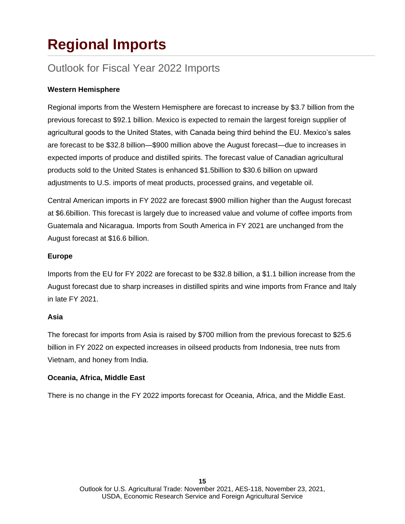## **Regional Imports**

### Outlook for Fiscal Year 2022 Imports

#### **Western Hemisphere**

Regional imports from the Western Hemisphere are forecast to increase by \$3.7 billion from the previous forecast to \$92.1 billion. Mexico is expected to remain the largest foreign supplier of agricultural goods to the United States, with Canada being third behind the EU. Mexico's sales are forecast to be \$32.8 billion—\$900 million above the August forecast—due to increases in expected imports of produce and distilled spirits. The forecast value of Canadian agricultural products sold to the United States is enhanced \$1.5billion to \$30.6 billion on upward adjustments to U.S. imports of meat products, processed grains, and vegetable oil.

Central American imports in FY 2022 are forecast \$900 million higher than the August forecast at \$6.6billion. This forecast is largely due to increased value and volume of coffee imports from Guatemala and Nicaragua. Imports from South America in FY 2021 are unchanged from the August forecast at \$16.6 billion.

#### **Europe**

Imports from the EU for FY 2022 are forecast to be \$32.8 billion, a \$1.1 billion increase from the August forecast due to sharp increases in distilled spirits and wine imports from France and Italy in late FY 2021.

#### **Asia**

The forecast for imports from Asia is raised by \$700 million from the previous forecast to \$25.6 billion in FY 2022 on expected increases in oilseed products from Indonesia, tree nuts from Vietnam, and honey from India.

#### **Oceania, Africa, Middle East**

There is no change in the FY 2022 imports forecast for Oceania, Africa, and the Middle East.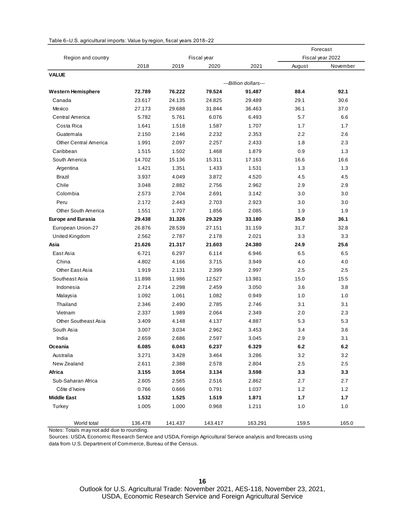| Table 6-U.S. agricultural imports: Value by region, fiscal years 2018-22 |  |  |  |  |
|--------------------------------------------------------------------------|--|--|--|--|
|                                                                          |  |  |  |  |

|                             |         |         | Forecast    |                       |         |                  |
|-----------------------------|---------|---------|-------------|-----------------------|---------|------------------|
| Region and country          |         |         | Fiscal year |                       |         | Fiscal year 2022 |
|                             | 2018    | 2019    | 2020        | 2021                  | August  | November         |
| <b>VALUE</b>                |         |         |             |                       |         |                  |
|                             |         |         |             | ---Billion dollars--- |         |                  |
| <b>Western Hemisphere</b>   | 72.789  | 76.222  | 79.524      | 91.487                | 88.4    | 92.1             |
| Canada                      | 23.617  | 24.135  | 24.825      | 29.489                | 29.1    | 30.6             |
| Mexico                      | 27.173  | 29.688  | 31.844      | 36.463                | 36.1    | 37.0             |
| Central America             | 5.782   | 5.761   | 6.076       | 6.493                 | 5.7     | 6.6              |
| Costa Rica                  | 1.641   | 1.518   | 1.587       | 1.707                 | 1.7     | 1.7              |
| Guatemala                   | 2.150   | 2.146   | 2.232       | 2.353                 | 2.2     | 2.6              |
| Other Central America       | 1.991   | 2.097   | 2.257       | 2.433                 | 1.8     | 2.3              |
| Caribbean                   | 1.515   | 1.502   | 1.468       | 1.879                 | 0.9     | 1.3              |
| South America               | 14.702  | 15.136  | 15.311      | 17.163                | 16.6    | 16.6             |
| Argentina                   | 1.421   | 1.351   | 1.433       | 1.531                 | 1.3     | 1.3              |
| Brazil                      | 3.937   | 4.049   | 3.872       | 4.520                 | 4.5     | 4.5              |
| Chile                       | 3.048   | 2.882   | 2.756       | 2.962                 | 2.9     | 2.9              |
| Colombia                    | 2.573   | 2.704   | 2.691       | 3.142                 | 3.0     | 3.0              |
| Peru                        | 2.172   | 2.443   | 2.703       | 2.923                 | 3.0     | 3.0              |
| Other South America         | 1.551   | 1.707   | 1.856       | 2.085                 | 1.9     | 1.9              |
| <b>Europe and Eurasia</b>   | 29.438  | 31.326  | 29.329      | 33.180                | 35.0    | 36.1             |
| European Union-27           | 26.876  | 28.539  | 27.151      | 31.159                | 31.7    | 32.8             |
| United Kingdom              | 2.562   | 2.787   | 2.178       | 2.021                 | 3.3     | 3.3              |
| Asia                        | 21.626  | 21.317  | 21.603      | 24.380                | 24.9    | 25.6             |
| East Asia                   | 6.721   | 6.297   | 6.114       | 6.946                 | 6.5     | 6.5              |
| China                       | 4.802   | 4.166   | 3.715       | 3.949                 | 4.0     | 4.0              |
| Other East Asia             | 1.919   | 2.131   | 2.399       | 2.997                 | 2.5     | 2.5              |
| Southeast Asia              | 11.898  | 11.986  | 12.527      | 13.981                | 15.0    | 15.5             |
| Indonesia                   | 2.714   | 2.298   | 2.459       | 3.050                 | 3.6     | 3.8              |
| Malaysia                    | 1.092   | 1.061   | 1.082       | 0.949                 | 1.0     | 1.0              |
| Thailand                    | 2.346   | 2.490   | 2.785       | 2.746                 | 3.1     | 3.1              |
| Vietnam                     | 2.337   | 1.989   | 2.064       | 2.349                 | 2.0     | 2.3              |
| <b>Other Southeast Asia</b> | 3.409   | 4.148   | 4.137       | 4.887                 | 5.3     | 5.3              |
| South Asia                  | 3.007   | 3.034   | 2.962       | 3.453                 | 3.4     | 3.6              |
| India                       | 2.659   | 2.686   | 2.597       | 3.045                 | 2.9     | 3.1              |
| Oceania                     | 6.085   | 6.043   | 6.237       | 6.329                 | 6.2     | 6.2              |
| Australia                   | 3.271   | 3.428   | 3.464       | 3.286                 | 3.2     | 3.2              |
| New Zealand                 | 2.611   | 2.388   | 2.578       | 2.804                 | $2.5\,$ | 2.5              |
| Africa                      | 3.155   | 3.054   | 3.134       | 3.598                 | 3.3     | 3.3              |
| Sub-Saharan Africa          | 2.605   | 2.565   | 2.516       | 2.862                 | 2.7     | 2.7              |
| Côte d'Ivoire               | 0.766   | 0.666   | 0.791       | 1.037                 | $1.2$   | 1.2              |
| <b>Middle East</b>          | 1.532   | 1.525   | 1.519       | 1.871                 | 1.7     | 1.7              |
| Turkey                      | 1.005   | 1.000   | 0.968       | 1.211                 | 1.0     | 1.0              |
| World total                 | 136.478 | 141.437 | 143.417     | 163.291               | 159.5   | 165.0            |

Notes: Totals may not add due to rounding.

Sources: USDA, Economic Research Service and USDA, Foreign Agricultural Service analysis and forecasts using data from U.S. Department of Commerce, Bureau of the Census.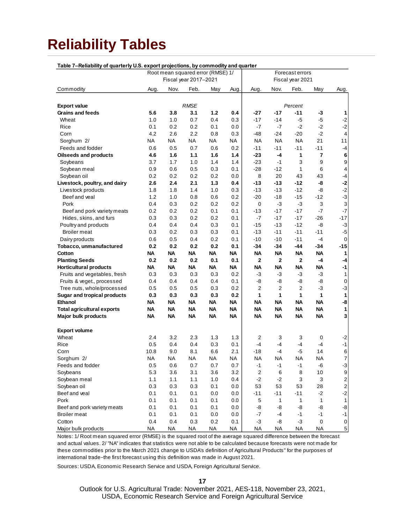### **Reliability Tables**

| Table 7-Reliability of quarterly U.S. export projections, by commodity and quarter |           |           |                       |                                   |      |                         |              |                  |              |                           |
|------------------------------------------------------------------------------------|-----------|-----------|-----------------------|-----------------------------------|------|-------------------------|--------------|------------------|--------------|---------------------------|
|                                                                                    |           |           |                       | Root mean squared error (RMSE) 1/ |      |                         |              | Forecast errors  |              |                           |
|                                                                                    |           |           | Fiscal year 2017-2021 |                                   |      |                         |              | Fiscal year 2021 |              |                           |
| Commodity                                                                          | Aug.      | Nov.      | Feb.                  | May                               | Aug. | Aug.                    | Nov.         | Feb.             | May          | Aug.                      |
|                                                                                    |           |           |                       |                                   |      |                         |              |                  |              |                           |
| <b>Export value</b>                                                                |           |           | <b>RMSE</b>           |                                   |      |                         |              | Percent          |              |                           |
| Grains and feeds                                                                   | 5.6       | 3.8       | 3.1                   | $1.2$                             | 0.4  | -27                     | $-17$        | -11              | -3           | 1                         |
| Wheat                                                                              | 1.0       | 1.0       | 0.7                   | 0.4                               | 0.3  | $-17$                   | $-14$        | $-5$             | $-5$         | $-2$                      |
| Rice                                                                               | 0.1       | 0.2       | 0.2                   | 0.1                               | 0.0  | -7                      | -7           | $-2$             | -2           | $-2$                      |
| Corn                                                                               | 4.2       | 2.6       | 2.2                   | 0.8                               | 0.3  | -48                     | $-24$        | $-20$            | $-2$         | $\overline{\mathbf{4}}$   |
| Sorghum 2/                                                                         | ΝA        | ΝA        | ΝA                    | NA                                | NA   | <b>NA</b>               | NA           | NA               | 21           | 11                        |
| Feeds and fodder                                                                   | 0.6       | 0.5       | 0.7                   | 0.6                               | 0.2  | $-11$                   | $-11$        | $-11$            | -11          | $-4$                      |
| <b>Oilseeds and products</b>                                                       | 4.6       | 1.6       | 1.1                   | 1.6                               | 1.4  | $-23$                   | $-4$         | 1                | 7            | 6                         |
| Soybeans                                                                           | 3.7       | 1.7       | 1.0                   | 1.4                               | 1.4  | $-23$                   | $-1$         | 3                | 9            | $\boldsymbol{9}$          |
| Soybean meal                                                                       | 0.9       | 0.6       | 0.5                   | 0.3                               | 0.1  | $-28$                   | $-12$        | 1                | 6            | 4                         |
| Soybean oil                                                                        | 0.2       | 0.2       | 0.2                   | 0.2                               | 0.0  | 8                       | 20           | 43               | 43           | $-4$                      |
| Livestock, poultry, and dairy                                                      | 2.6       | 2.4       | 2.1                   | 1.3                               | 0.4  | -13                     | $-13$        | -12              | -8           | $-2$                      |
| Livestock products                                                                 | 1.8       | 1.8       | 1.4                   | 1.0                               | 0.3  | $-13$                   | $-13$        | $-12$            | -8           | $-2$                      |
| Beef and veal                                                                      | 1.2       | 1.0       | 0.8                   | 0.6                               | 0.2  | $-20$                   | $-18$        | $-15$            | $-12$        | $-3$                      |
| Pork                                                                               | 0.4       | 0.3       | 0.2                   | 0.2                               | 0.2  | 0                       | -3           | $-3$             | 3            | $\ensuremath{\mathsf{3}}$ |
| Beef and pork variety meats                                                        | 0.2       | 0.2       | 0.2                   | 0.1                               | 0.1  | $-13$                   | $-17$        | $-17$            | $-7$         | $-7$                      |
| Hides, skins, and furs                                                             | 0.3       | 0.3       | 0.2                   | 0.2                               | 0.1  | $-7$                    | $-17$        | $-17$            | $-26$        | $-17$                     |
| Poultry and products                                                               | 0.4       | 0.4       | 0.4                   | 0.3                               | 0.1  | $-15$                   | $-13$        | $-12$            | $-8$         | $-3$                      |
| <b>Broiler</b> meat                                                                | 0.3       | 0.2       | 0.3                   | 0.3                               | 0.1  | $-13$                   | $-11$        | $-11$            | $-11$        | $-5$                      |
| Dairy products                                                                     | 0.6       | 0.5       | 0.4                   | 0.2                               | 0.1  | $-10$                   | $-10$        | $-11$            | $-4$         | $\mathbf 0$               |
| Tobacco, unmanufactured                                                            | 0.2       | 0.2       | 0.2                   | 0.2                               | 0.1  | -34                     | -34          | -44              | -34          | $-15$                     |
| Cotton                                                                             | ΝA        | ΝA        | ΝA                    | NA                                | ΝA   | <b>NA</b>               | <b>NA</b>    | <b>NA</b>        | <b>NA</b>    | 1                         |
| <b>Planting Seeds</b>                                                              | 0.2       | 0.2       | 0.2                   | 0.1                               | 0.1  | $\mathbf{2}$            | $\mathbf 2$  | $\mathbf 2$      | $-4$         | $-4$                      |
| <b>Horticultural products</b>                                                      | ΝA        | ΝA        | <b>NA</b>             | ΝA                                | ΝA   | <b>NA</b>               | <b>NA</b>    | ΝA               | NA           | $-1$                      |
| Fruits and vegetables, fresh                                                       | 0.3       | 0.3       | 0.3                   | 0.3                               | 0.2  | -3                      | $-3$         | -3               | $-3$         | 1                         |
| Fruits & veget., processed                                                         | 0.4       | 0.4       | 0.4                   | 0.4                               | 0.1  | -8                      | -8           | -8               | -8           | $\pmb{0}$                 |
| Tree nuts, whole/processed                                                         | 0.5       | 0.5       | 0.5                   | 0.3                               | 0.2  | $\overline{2}$          | 2            | 2                | $-3$         | $-3$                      |
| <b>Sugar and tropical products</b>                                                 | 0.3       | 0.3       | 0.3                   | 0.3                               | 0.2  | 1                       | 1            | 1                | $\mathbf{1}$ | $\mathbf{1}$              |
| Ethanol                                                                            | ΝA        | ΝA        | NA                    | NA                                | ΝA   | <b>NA</b>               | <b>NA</b>    | ΝA               | NA           | -8                        |
| <b>Total agricultural exports</b>                                                  | <b>NA</b> | ΝA        | NA                    | ΝA                                | ΝA   | <b>NA</b>               | <b>NA</b>    | ΝA               | <b>NA</b>    | $\mathbf{1}$              |
| Major bulk products                                                                | <b>NA</b> | <b>NA</b> | NA                    | ΝA                                | NA   | <b>NA</b>               | <b>NA</b>    | ΝA               | <b>NA</b>    | 3                         |
|                                                                                    |           |           |                       |                                   |      |                         |              |                  |              |                           |
| <b>Export volume</b>                                                               |           |           |                       |                                   |      |                         |              |                  |              |                           |
| Wheat                                                                              | 2.4       | 3.2       | 2.3                   | 1.3                               | 1.3  | $\overline{2}$          | 3            | 3                | 0            | $-2$                      |
| Rice                                                                               | 0.5       | 0.4       | 0.4                   | 0.3                               | 0.1  | $-4$                    | -4           | -4               | -4           | $-1$                      |
| Corn                                                                               | 10.8      | 9.0       | 8.1                   | 6.6                               | 2.1  | $-18$                   | $-4$         | $-5$             | 14           | $\mathbf 6$               |
| Sorghum 2/                                                                         | NA.       | NA        | NA                    | NA                                | ΝA   | <b>NA</b>               | <b>NA</b>    | NA               | ΝA           | $\overline{7}$            |
| Feeds and fodder                                                                   | 0.5       | 0.6       | 0.7                   | 0.7                               | 0.7  | $-1$                    | $-1$         | -1               | -6           | $-3$                      |
| Soybeans                                                                           | 5.3       | 3.6       | 3.1                   | 3.6                               | 3.2  | $\overline{\mathbf{c}}$ | 6            | 8                | 10           | $\boldsymbol{9}$          |
| Soybean meal                                                                       | 1.1       | 1.1       | 1.1                   | 1.0                               | 0.4  | $-2$                    | $-2$         | 3                | 3            | $\overline{c}$            |
| Soybean oil                                                                        | 0.3       | 0.3       | 0.3                   | 0.1                               | 0.0  | 53                      | 53           | 53               | 28           | $\overline{\mathbf{c}}$   |
| Beef and veal                                                                      | 0.1       | 0.1       | 0.1                   | 0.0                               | 0.0  | $-11$                   | $-11$        | $-11$            | $-2$         | $-2$                      |
| Pork                                                                               | 0.1       | 0.1       | 0.1                   | 0.1                               | 0.0  | 5                       | $\mathbf{1}$ | 1                | $\mathbf{1}$ | $\mathbf{1}$              |
| Beef and pork variety meats                                                        | 0.1       | 0.1       | 0.1                   | 0.1                               | 0.0  | -8                      | -8           | -8               | -8           | $\ensuremath{\mathsf{8}}$ |
| <b>Broiler</b> meat                                                                | 0.1       | 0.1       | 0.1                   | 0.0                               | 0.0  | $-7$                    | -4           | $-1$             | $-1$         | $-1$                      |
| Cotton                                                                             | 0.4       | 0.4       | 0.3                   | 0.2                               | 0.1  | $-3$                    | -8           | $-3$             | $\pmb{0}$    | $\pmb{0}$                 |
| Major bulk products                                                                | <b>NA</b> | <b>NA</b> | <b>NA</b>             | NA                                | NA   | <b>NA</b>               | <b>NA</b>    | <b>NA</b>        | <b>NA</b>    | $\overline{5}$            |

Notes: 1/ Root mean squared error (RMSE) is the squared root of the average squared difference between the forecast and actual values. 2/ "NA" indicates that statistics were not able to be calculated because forecasts were not made for these commodities prior to the March 2021 change to USDA's definition of Agricultural Products" for the purposes of international trade−the first forecast using this definition was made in August 2021.

Sources: USDA, Economic Research Service and USDA, Foreign Agricultural Service.

**17**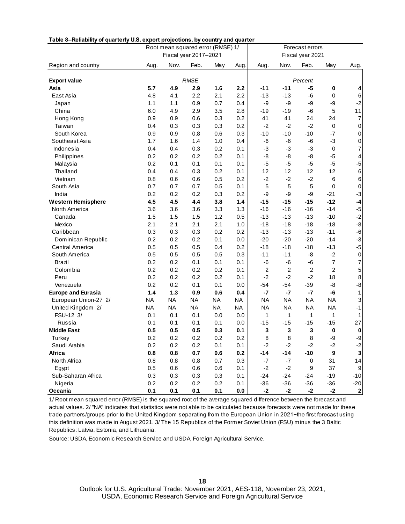| Table 8–Reliability of quarterly U.S. export projections, by country and quarter |           |           | Fiscal year 2017-2021 | Root mean squared error (RMSE) 1/ |           | Forecast errors<br>Fiscal year 2021 |                |                  |                  |                |
|----------------------------------------------------------------------------------|-----------|-----------|-----------------------|-----------------------------------|-----------|-------------------------------------|----------------|------------------|------------------|----------------|
| Region and country                                                               | Aug.      | Nov.      | Feb.                  | May                               | Aug.      | Aug.                                | Nov.           | Feb.             | May              | Aug.           |
|                                                                                  |           |           |                       |                                   |           |                                     |                |                  |                  |                |
| <b>Export value</b>                                                              |           |           | <b>RMSE</b>           |                                   |           |                                     |                | Percent          |                  |                |
| Asia                                                                             | 5.7       | 4.9       | 2.9                   | 1.6                               | 2.2       | $-11$                               | $-11$          | -5               | 0                | 4              |
| East Asia                                                                        | 4.8       | 4.1       | 2.2                   | 2.1                               | 2.2       | $-13$                               | $-13$          | -6               | 0                | $\,6$          |
| Japan                                                                            | 1.1       | 1.1       | 0.9                   | 0.7                               | 0.4       | -9                                  | -9             | -9               | -9               | $-2$           |
| China                                                                            | 6.0       | 4.9       | 2.9                   | 3.5                               | 2.8       | $-19$                               | $-19$          | -6               | 5                | 11             |
| Hong Kong                                                                        | 0.9       | 0.9       | 0.6                   | 0.3                               | 0.2       | 41                                  | 41             | 24               | 24               | $\overline{7}$ |
| Taiwan                                                                           | 0.4       | 0.3       | 0.3                   | 0.3                               | 0.2       | $-2$                                | $-2$           | $-2$             | 0                | 0              |
| South Korea                                                                      | 0.9       | 0.9       | 0.8                   | 0.6                               | 0.3       | $-10$                               | $-10$          | $-10$            | $-7$             | $\mathsf 0$    |
| Southeast Asia                                                                   | 1.7       | 1.6       | 1.4                   | 1.0                               | 0.4       | -6                                  | -6             | -6               | -3               | $\mathbf 0$    |
| Indonesia                                                                        | 0.4       | 0.4       | 0.3                   | 0.2                               | 0.1       | $-3$                                | -3             | -3               | $\pmb{0}$        | 7              |
| Philippines                                                                      | 0.2       | 0.2       | 0.2                   | 0.2                               | 0.1       | -8                                  | -8             | -8               | $-5$             | 4              |
| Malaysia                                                                         | 0.2       | 0.1       | 0.1                   | 0.1                               | 0.1       | $-5$                                | $-5$           | $-5$             | -5               | $-5$           |
| Thailand                                                                         | 0.4       | 0.4       | 0.3                   | 0.2                               | 0.1       | 12                                  | 12             | 12               | 12               | $\,6$          |
| Vietnam                                                                          | 0.8       | 0.6       | 0.6                   | 0.5                               | 0.2       | $-2$                                | $-2$           | $-2$             | 6                | $\,6$          |
| South Asia                                                                       | 0.7       | 0.7       | 0.7                   | 0.5                               | 0.1       | 5                                   | 5              | 5                | 0                | $\mathsf 0$    |
| India                                                                            | 0.2       | 0.2       | 0.2                   | 0.3                               | 0.2       | -9                                  | -9             | -9               | $-21$            | $-3$           |
| <b>Western Hemisphere</b>                                                        | 4.5       | 4.5       | 4.4                   | 3.8                               | 1.4       | $-15$                               | $-15$          | $-15$            | $-12$            | $\textbf{-4}$  |
| North America                                                                    | 3.6       | 3.6       | 3.6                   | 3.3                               | 1.3       | $-16$                               | $-16$          | $-16$            | $-14$            | $-5$           |
| Canada                                                                           | 1.5       | 1.5       | 1.5                   | 1.2                               | 0.5       | $-13$                               | $-13$          | $-13$            | $-10$            | $-2$           |
| Mexico                                                                           | 2.1       | 2.1       | 2.1                   | 2.1                               | 1.0       | $-18$                               | $-18$          | $-18$            | $-18$            | -8             |
| Caribbean                                                                        | 0.3       | 0.3       | 0.3                   | 0.2                               | 0.2       | $-13$                               | $-13$          | $-13$            | $-11$            | $-6$           |
| Dominican Republic                                                               | 0.2       | 0.2       | 0.2                   | 0.1                               | 0.0       | $-20$                               | $-20$          | $-20$            | $-14$            | $-3$           |
| <b>Central America</b>                                                           | 0.5       | 0.5       | 0.5                   | 0.4                               | 0.2       | $-18$                               | $-18$          | $-18$            | $-13$            | $-5$           |
| South America                                                                    | 0.5       | 0.5       | 0.5                   | 0.5                               | 0.3       | $-11$                               | $-11$          | -8               | $-2$             | $\pmb{0}$      |
| Brazil                                                                           | 0.2       | 0.2       | 0.1                   | 0.1                               | 0.1       | -6                                  | -6             | -6               | $\overline{7}$   | 7              |
| Colombia                                                                         | 0.2       | 0.2       | 0.2                   | 0.2                               | 0.1       | $\overline{2}$                      | $\overline{c}$ | $\overline{2}$   | $\overline{c}$   | 5              |
| Peru                                                                             | 0.2       | 0.2       | 0.2                   | 0.2                               | 0.1       | $-2$                                | $-2$           | $-2$             | 18               | 8              |
| Venezuela                                                                        | 0.2       | 0.2       | 0.1                   | 0.1                               | 0.0       | $-54$                               | $-54$          | $-39$            | -8               | $-8$           |
| <b>Europe and Eurasia</b>                                                        | 1.4       | 1.3       | 0.9                   | 0.6                               | 0.4       | $-7$                                | $-7$           | $-7$             | -6               | 1              |
| European Union-27 2/                                                             | <b>NA</b> | <b>NA</b> | <b>NA</b>             | <b>NA</b>                         | NA        | <b>NA</b>                           | NA             | <b>NA</b>        | <b>NA</b>        | 3              |
| United Kingdom 2/                                                                | <b>NA</b> | <b>NA</b> | <b>NA</b>             | <b>NA</b>                         | <b>NA</b> | <b>NA</b>                           | <b>NA</b>      | <b>NA</b>        | <b>NA</b>        | $-1$           |
| FSU-12 3/                                                                        | 0.1       | 0.1       | 0.1                   | 0.0                               | 0.0       | $\mathbf{1}$                        | 1              | 1                | $\mathbf{1}$     | 1              |
| Russia                                                                           | 0.1       | 0.1       | 0.1                   | 0.1                               | 0.0       | $-15$                               | $-15$          | $-15$            | $-15$            | 27             |
| <b>Middle East</b>                                                               | 0.5       | 0.5       | 0.5                   | 0.3                               | 0.1       | 3                                   | 3              | 3                | $\mathbf{0}$     | 0              |
| Turkey                                                                           | 0.2       | 0.2       | 0.2                   | 0.2                               | 0.2       | 8                                   | 8              | 8                | -9               | -9             |
| Saudi Arabia                                                                     | 0.2       | 0.2       | 0.2                   | 0.1                               | 0.1       | $-2$                                | $-2$           | $-2$             | $-2$             | $-2$           |
| Africa                                                                           | 0.8       | 0.8       | 0.7                   | $0.6\,$                           | 0.2       | $-14$                               | $-14$          | $-10$            | $\boldsymbol{9}$ | $\mathbf 3$    |
| North Africa                                                                     | 0.8       | 0.8       | 0.8                   | 0.7                               | 0.3       | $-7$                                | $-7$           | $\pmb{0}$        | 31               | 14             |
| Egypt                                                                            | 0.5       | 0.6       | $0.6\,$               | $0.6\,$                           | 0.1       | $-2$                                | $-2$           | $\boldsymbol{9}$ | 37               | $9\,$          |
| Sub-Saharan Africa                                                               | 0.3       | 0.3       | 0.3                   | 0.3                               | 0.1       | $-24$                               | $-24$          | $-24$            | $-19$            | $-10$          |
| Nigeria                                                                          | 0.2       | 0.2       | 0.2                   | 0.2                               | 0.1       | $-36$                               | $-36$          | $-36$            | $-36$            | $-20$          |
| Oceania                                                                          | 0.1       | 0.1       | 0.1                   | 0.1                               | 0.0       | $-2$                                | $-2$           | $-2$             | $-2$             | 2              |

**Table 8–Reliability of quarterly U.S. export projections, by country and quarter**

1/ Root mean squared error (RMSE) is the squared root of the average squared difference between the forecast and actual values. 2/ "NA" indicates that statistics were not able to be calculated because forecasts were not made for these trade partners/groups prior to the United Kingdom separating from the European Union in 2021−the first forecast using this definition was made in August 2021. 3/ The 15 Republics of the Former Soviet Union (FSU) minus the 3 Baltic Republics : Latvia, Es tonia, and Lithuania.

Source: USDA, Economic Research Service and USDA, Foreign Agricultural Service.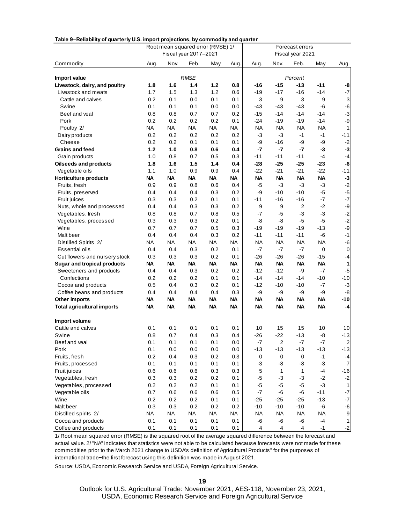| Table 9-Reliability of quarterly U.S. import projections, by commodity and quarter |                                   |           |           |           |                  |                 |                         |                  |                  |                           |  |
|------------------------------------------------------------------------------------|-----------------------------------|-----------|-----------|-----------|------------------|-----------------|-------------------------|------------------|------------------|---------------------------|--|
|                                                                                    | Root mean squared error (RMSE) 1/ |           |           |           |                  | Forecast errors |                         |                  |                  |                           |  |
|                                                                                    | Fiscal year 2017-2021             |           |           |           | Fiscal year 2021 |                 |                         |                  |                  |                           |  |
| Commodity                                                                          | Aug.                              | Nov.      | Feb.      | May       | Aug.             | Aug.            | Nov.                    | Feb.             | May              | Aug.                      |  |
|                                                                                    |                                   |           |           |           |                  |                 |                         |                  |                  |                           |  |
| Import value                                                                       | <b>RMSE</b>                       |           |           |           | Percent          |                 |                         |                  |                  |                           |  |
| Livestock, dairy, and poultry                                                      | 1.8                               | 1.6       | 1.4       | 1.2       | 0.8              | -16             | $-15$                   | $-13$            | $-11$            | -8                        |  |
| Livestock and meats                                                                | 1.7                               | 1.5       | 1.3       | 1.2       | 0.6              | $-19$           | $-17$                   | $-16$            | $-14$            | $-7$                      |  |
| Cattle and calves                                                                  | 0.2                               | 0.1       | 0.0       | 0.1       | 0.1              | 3               | 9                       | 3                | 9                | $\ensuremath{\mathsf{3}}$ |  |
| Swine                                                                              | 0.1                               | 0.1       | 0.1       | 0.0       | 0.0              | -43             | -43                     | $-43$            | -6               | $-6$                      |  |
| Beef and veal                                                                      | 0.8                               | 0.8       | 0.7       | 0.7       | 0.2              | $-15$           | -14                     | $-14$            | $-14$            | $-3$                      |  |
| Pork                                                                               | 0.2                               | 0.2       | 0.2       | 0.2       | 0.1              | $-24$           | -19                     | $-19$            | $-14$            | -9                        |  |
| Poultry 2/                                                                         | <b>NA</b>                         | <b>NA</b> | NA        | <b>NA</b> | <b>NA</b>        | <b>NA</b>       | <b>NA</b>               | <b>NA</b>        | <b>NA</b>        | $\mathbf{1}$              |  |
| Dairy products                                                                     | 0.2                               | 0.2       | 0.2       | 0.2       | 0.2              | $-3$            | $-3$                    | $-1$             | $-1$             | $-11$                     |  |
| Cheese                                                                             | 0.2                               | 0.2       | 0.1       | 0.1       | 0.1              | -9              | $-16$                   | -9               | -9               | $-2$                      |  |
| <b>Grains and feed</b>                                                             | 1.2                               | 1.0       | 0.8       | 0.6       | 0.4              | $-7$            | $-7$                    | $-7$             | $-3$             | $-3$                      |  |
| Grain products                                                                     | 1.0                               | 0.8       | 0.7       | 0.5       | 0.3              | $-11$           | $-11$                   | $-11$            | $-4$             | $-4$                      |  |
| <b>Oilseeds and products</b>                                                       | 1.8                               | 1.6       | 1.5       | 1.4       | 0.4              | -28             | $-25$                   | $-25$            | $-23$            | -6                        |  |
| Vegetable oils                                                                     | 1.1                               | 1.0       | 0.9       | 0.9       | 0.4              | -22             | $-21$                   | $-21$            | $-22$            | $-11$                     |  |
| <b>Horticulture products</b>                                                       | <b>NA</b>                         | ΝA        | <b>NA</b> | ΝA        | ΝA               | <b>NA</b>       | ΝA                      | <b>NA</b>        | <b>NA</b>        | $-3$                      |  |
| Fruits, fresh                                                                      | 0.9                               | 0.9       | 0.8       | 0.6       | 0.4              | $-5$            | -3                      | $-3$             | $-3$             | $-2$                      |  |
| Fruits, preserved                                                                  | 0.4                               | 0.4       | 0.4       | 0.3       | 0.2              | -9              | -10                     | $-10$            | $-5$             | $-5$                      |  |
| Fruit juices                                                                       | 0.3                               | 0.3       | 0.2       | 0.1       | 0.1              | $-11$           | -16                     | $-16$            | $-7$             | $-7$                      |  |
| Nuts, whole and processed                                                          | 0.4                               | 0.4       | 0.3       | 0.3       | 0.2              | 9               | 9                       | $\boldsymbol{2}$ | $-2$             | -9                        |  |
| Vegetables, fresh                                                                  | 0.8                               | 0.8       | 0.7       | 0.8       | 0.5              | $-7$            | $-5$                    | $-3$             | $-3$             | $-2$                      |  |
| Vegetables, processed                                                              | 0.3                               | 0.3       | 0.3       | 0.2       | 0.1              | -8              | -8                      | $-5$             | $-5$             | $-2$                      |  |
| Wine                                                                               | 0.7                               | 0.7       | 0.7       | 0.5       | 0.3              | $-19$           | -19                     | $-19$            | $-13$            | -9                        |  |
| Malt beer                                                                          | 0.4                               | 0.4       | 0.4       | 0.3       | 0.2              | $-11$           | $-11$                   | $-11$            | $-6$             | $-1$                      |  |
| Distilled Spirits 2/                                                               | NA                                | NA        | <b>NA</b> | NA        | ΝA               | <b>NA</b>       | NA                      | <b>NA</b>        | <b>NA</b>        | $-6$                      |  |
| Essential oils                                                                     | 0.4                               | 0.4       | 0.3       | 0.2       | 0.1              | $-7$            | $-7$                    | $-7$             | $\boldsymbol{0}$ | $\pmb{0}$                 |  |
| Cut flowers and nursery stock                                                      | 0.3                               | 0.3       | 0.3       | 0.2       | 0.1              | $-26$           | $-26$                   | $-26$            | $-15$            | $-4$                      |  |
| <b>Sugar and tropical products</b>                                                 | <b>NA</b>                         | ΝA        | <b>NA</b> | <b>NA</b> | <b>NA</b>        | <b>NA</b>       | <b>NA</b>               | <b>NA</b>        | <b>NA</b>        | $\mathbf{1}$              |  |
| Sweeteners and products                                                            | 0.4                               | 0.4       | 0.3       | 0.2       | 0.2              | $-12$           | $-12$                   | -9               | $-7$             | $-5$                      |  |
| Confections                                                                        | 0.2                               | 0.2       | 0.2       | 0.1       | 0.1              | $-14$           | -14                     | $-14$            | $-10$            | $-10$                     |  |
| Cocoa and products                                                                 | 0.5                               | 0.4       | 0.3       | 0.2       | 0.1              | $-12$           | $-10$                   | $-10$            | $-7$             | $-3$                      |  |
| Coffee beans and products                                                          | 0.4                               | 0.4       | 0.4       | 0.4       | 0.3              | -9              | -9                      | -9               | -9               | $-8$                      |  |
| Other imports                                                                      | <b>NA</b>                         | <b>NA</b> | <b>NA</b> | <b>NA</b> | NA               | <b>NA</b>       | ΝA                      | <b>NA</b>        | <b>NA</b>        | $-10$                     |  |
| <b>Total agricultural imports</b>                                                  | <b>NA</b>                         | <b>NA</b> | <b>NA</b> | <b>NA</b> | <b>NA</b>        | <b>NA</b>       | <b>NA</b>               | <b>NA</b>        | <b>NA</b>        | $-4$                      |  |
| Import volume                                                                      |                                   |           |           |           |                  |                 |                         |                  |                  |                           |  |
| Cattle and calves                                                                  | 0.1                               | 0.1       | 0.1       | 0.1       | 0.1              | 10              | 15                      | 15               | 10               | 10                        |  |
| Swine                                                                              | 0.8                               | 0.7       | 0.4       | 0.3       | 0.4              | -26             | -22                     | -13              | -8               | $-13$                     |  |
| Beef and veal                                                                      | 0.1                               | 0.1       | 0.1       | 0.1       | 0.0              | $-7$            | 2                       | $-7$             | $-7$             | $\sqrt{2}$                |  |
| Pork                                                                               | 0.1                               | 0.0       | 0.0       | 0.0       | 0.0              | $-13$           | $-13$                   | $-13$            | $-13$            | $-13$                     |  |
| Fruits, fresh                                                                      | 0.2                               | 0.4       | 0.3       | 0.2       | 0.3              | $\mathbf 0$     | 0                       | $\pmb{0}$        | $-1$             | $-4$                      |  |
| Fruits, processed                                                                  | 0.1                               | 0.1       | 0.1       | 0.1       | 0.1              | $-3$            | -8                      | -8               | $-3$             | $\overline{7}$            |  |
| Fruit juices                                                                       | 0.6                               | 0.6       | $0.6\,$   | 0.3       | 0.3              | $\sqrt{5}$      | 1                       | $\mathbf{1}$     | $-4$             | $-16$                     |  |
| Vegetables, fresh                                                                  | 0.3                               | 0.3       | 0.2       | 0.2       | 0.1              | $-5$            | $-3$                    | $-3$             | $-2$             | $-2$                      |  |
| Vegetables, processed                                                              | 0.2                               | 0.2       | $0.2\,$   | 0.1       | 0.1              | $-5$            | $-5$                    | $-5$             | $-3$             | $\mathbf{1}$              |  |
| Vegetable oils                                                                     | 0.7                               | 0.6       | $0.6\,$   | 0.6       | 0.5              | $-7$            | -6                      | $-6$             | $-11$            | $-7$                      |  |
| Wine                                                                               | 0.2                               | 0.2       | 0.2       | 0.1       | 0.1              | $-25$           | $-25$                   | $-25$            | $-13$            | $\mathbf{-7}$             |  |
| Malt beer                                                                          | 0.3                               | 0.3       | 0.2       | 0.2       | 0.2              | $-10$           | $-10$                   | $-10$            | -6               | $\textbf{-6}$             |  |
| Distilled spirits 2/                                                               | <b>NA</b>                         | <b>NA</b> | NA        | <b>NA</b> | NA               | <b>NA</b>       | <b>NA</b>               | <b>NA</b>        | <b>NA</b>        | $\boldsymbol{9}$          |  |
| Cocoa and products                                                                 | 0.1                               | 0.1       | 0.1       | 0.1       | 0.1              | $-6$            | -6                      | $-6$             | $-4$             | $\mathbf{1}$              |  |
| Coffee and products                                                                | 0.1                               | 0.1       | 0.1       | 0.1       | 0.1              | $\overline{4}$  | $\overline{\mathbf{4}}$ | 4                | $-1$             | $-2$                      |  |

1/ Root mean squared error (RMSE) is the squared root of the average squared difference between the forecast and actual value. 2/ "NA" indicates that statistics were not able to be calculated because forecasts were not made for these commodities prior to the March 2021 change to USDA's definition of Agricultural Products" for the purposes of international trade−the first forecast using this definition was made in August 2021.

Source: USDA, Economic Research Service and USDA, Foreign Agricultural Service.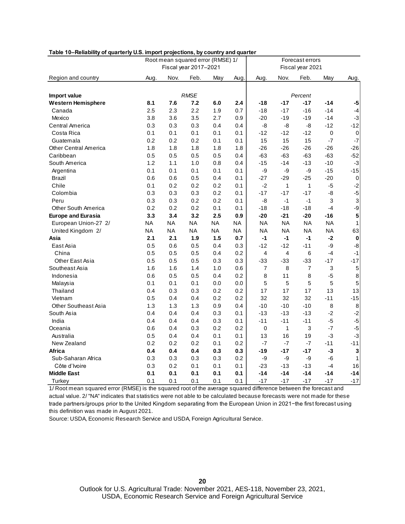|                             | Root mean squared error (RMSE) 1/ |           |           |           |                  | Forecast errors |                |                |             |                           |  |
|-----------------------------|-----------------------------------|-----------|-----------|-----------|------------------|-----------------|----------------|----------------|-------------|---------------------------|--|
|                             | Fiscal year 2017-2021             |           |           |           | Fiscal year 2021 |                 |                |                |             |                           |  |
| Region and country          | Aug.                              | Nov.      | Feb.      | May       | Aug.             | Aug.            | Nov.           | Feb.           | May         | Aug.                      |  |
|                             |                                   |           |           |           |                  |                 |                |                |             |                           |  |
| Import value                | <b>RMSE</b>                       |           |           |           | Percent          |                 |                |                |             |                           |  |
| <b>Western Hemisphere</b>   | 8.1                               | 7.6       | 7.2       | 6.0       | 2.4              | $-18$           | $-17$          | $-17$          | $-14$       | $-5$                      |  |
| Canada                      | 2.5                               | 2.3       | 2.2       | 1.9       | 0.7              | $-18$           | $-17$          | $-16$          | $-14$       | $-4$                      |  |
| Mexico                      | 3.8                               | 3.6       | 3.5       | 2.7       | 0.9              | $-20$           | $-19$          | $-19$          | $-14$       | $-3$                      |  |
| Central America             | 0.3                               | 0.3       | 0.3       | 0.4       | 0.4              | -8              | -8             | -8             | $-12$       | $-12$                     |  |
| Costa Rica                  | 0.1                               | 0.1       | 0.1       | 0.1       | 0.1              | $-12$           | $-12$          | $-12$          | $\mathbf 0$ | $\mathbf 0$               |  |
| Guatemala                   | 0.2                               | 0.2       | 0.2       | 0.1       | 0.1              | 15              | 15             | 15             | $-7$        | $-7$                      |  |
| Other Central America       | 1.8                               | 1.8       | 1.8       | 1.8       | 1.8              | $-26$           | $-26$          | $-26$          | $-26$       | $-26$                     |  |
| Caribbean                   | 0.5                               | 0.5       | 0.5       | 0.5       | 0.4              | $-63$           | $-63$          | $-63$          | $-63$       | $-52$                     |  |
| South America               | 1.2                               | 1.1       | 1.0       | 0.8       | 0.4              | $-15$           | $-14$          | $-13$          | $-10$       | $-3$                      |  |
| Argentina                   | 0.1                               | 0.1       | 0.1       | 0.1       | 0.1              | -9              | -9             | -9             | $-15$       | $-15$                     |  |
| Brazil                      | 0.6                               | 0.6       | 0.5       | 0.4       | 0.1              | $-27$           | $-29$          | $-25$          | $-20$       | $\pmb{0}$                 |  |
| Chile                       | 0.1                               | 0.2       | 0.2       | 0.2       | 0.1              | $-2$            | $\mathbf{1}$   | 1              | $-5$        | $-2$                      |  |
| Colombia                    | 0.3                               | 0.3       | 0.3       | 0.2       | 0.1              | $-17$           | $-17$          | $-17$          | -8          | $-5$                      |  |
| Peru                        | 0.3                               | 0.3       | 0.2       | 0.2       | 0.1              | $-8$            | $-1$           | $-1$           | 3           | $\ensuremath{\mathsf{3}}$ |  |
| <b>Other South America</b>  | 0.2                               | 0.2       | 0.2       | 0.1       | 0.1              | $-18$           | $-18$          | $-18$          | $-4$        | $-9$                      |  |
| <b>Europe and Eurasia</b>   | 3.3                               | 3.4       | 3.2       | 2.5       | 0.9              | $-20$           | $-21$          | $-20$          | $-16$       | 5                         |  |
| European Union-27 2/        | ΝA                                | NA        | <b>NA</b> | <b>NA</b> | <b>NA</b>        | <b>NA</b>       | <b>NA</b>      | <b>NA</b>      | <b>NA</b>   | $\mathbf{1}$              |  |
| United Kingdom 2/           | ΝA                                | <b>NA</b> | NA        | <b>NA</b> | NA               | <b>NA</b>       | ΝA             | NA             | <b>NA</b>   | 63                        |  |
| Asia                        | 2.1                               | 2.1       | 1.9       | 1.5       | 0.7              | $-1$            | $-1$           | $-1$           | $-2$        | $\boldsymbol{0}$          |  |
| East Asia                   | 0.5                               | 0.6       | 0.5       | 0.4       | 0.3              | $-12$           | $-12$          | $-11$          | -9          | $-8$                      |  |
| China                       | 0.5                               | 0.5       | 0.5       | 0.4       | 0.2              | $\overline{4}$  | $\overline{4}$ | 6              | $-4$        | $-1$                      |  |
| Other East Asia             | 0.5                               | 0.5       | 0.5       | 0.3       | 0.3              | $-33$           | $-33$          | $-33$          | $-17$       | $-17$                     |  |
| Southeast Asia              | 1.6                               | 1.6       | 1.4       | 1.0       | 0.6              | 7               | 8              | $\overline{7}$ | 3           | $\mathbf 5$               |  |
| Indonesia                   | 0.6                               | 0.5       | 0.5       | 0.4       | 0.2              | 8               | 11             | 8              | $-5$        | $\bf8$                    |  |
| Malaysia                    | 0.1                               | 0.1       | 0.1       | 0.0       | 0.0              | 5               | 5              | 5              | 5           | 5                         |  |
| Thailand                    | 0.4                               | 0.3       | 0.3       | 0.2       | 0.2              | 17              | 17             | 17             | 13          | 13                        |  |
| Vietnam                     | 0.5                               | 0.4       | 0.4       | 0.2       | 0.2              | 32              | 32             | 32             | $-11$       | $-15$                     |  |
| <b>Other Southeast Asia</b> | 1.3                               | 1.3       | 1.3       | 0.9       | 0.4              | $-10$           | $-10$          | $-10$          | 8           | $\,8\,$                   |  |
| South Asia                  | 0.4                               | 0.4       | 0.4       | 0.3       | 0.1              | $-13$           | $-13$          | $-13$          | $-2$        | $-2$                      |  |
| India                       | 0.4                               | 0.4       | 0.4       | 0.3       | 0.1              | $-11$           | $-11$          | $-11$          | $-5$        | $-5$                      |  |
| Oceania                     | 0.6                               | 0.4       | 0.3       | 0.2       | 0.2              | 0               | 1              | 3              | $-7$        | $-5$                      |  |
| Australia                   | 0.5                               | 0.4       | 0.4       | 0.1       | 0.1              | 13              | 16             | 19             | $-3$        | $-3$                      |  |
| New Zealand                 | 0.2                               | 0.2       | 0.2       | 0.1       | 0.2              | $-7$            | $-7$           | -7             | $-11$       | $-11$                     |  |
| Africa                      | 0.4                               | 0.4       | 0.4       | 0.3       | 0.3              | $-19$           | $-17$          | $-17$          | $-3$        | $\mathbf 3$               |  |
| Sub-Saharan Africa          | 0.3                               | 0.3       | 0.3       | 0.3       | 0.2              | -9              | -9             | -9             | $-6$        | $\mathbf{1}$              |  |
| Côte d'Ivoire               | 0.3                               | 0.2       | 0.1       | 0.1       | 0.1              | $-23$           | $-13$          | $-13$          | $-4$        | 16                        |  |
| <b>Middle East</b>          | 0.1                               | 0.1       | 0.1       | 0.1       | 0.1              | $-14$           | $-14$          | $-14$          | $-14$       | $-14$                     |  |
| Turkey                      | 0.1                               | 0.1       | 0.1       | 0.1       | 0.1              | $-17$           | $-17$          | $-17$          | $-17$       | $-17$                     |  |

1/ Root mean squared error (RMSE) is the squared root of the average squared difference between the forecast and actual value. 2/ "NA" indicates that statistics were not able to be calculated because forecasts were not made for these trade partners/groups prior to the United Kingdom separating from the European Union in 2021−the first forecast using this definition was made in August 2021.

Source: USDA, Economic Research Service and USDA, Foreign Agricultural Service.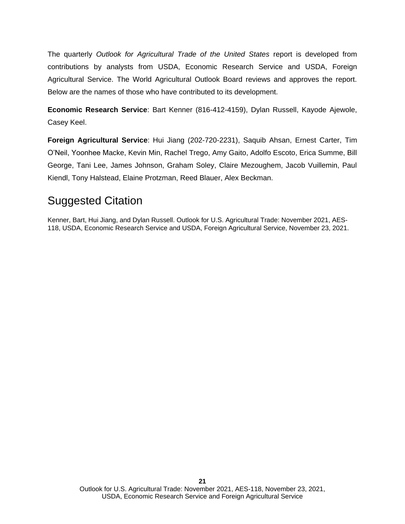The quarterly *Outlook for Agricultural Trade of the United States* report is developed from contributions by analysts from USDA, Economic Research Service and USDA, Foreign Agricultural Service. The World Agricultural Outlook Board reviews and approves the report. Below are the names of those who have contributed to its development.

**Economic Research Service**: Bart Kenner (816-412-4159), Dylan Russell, Kayode Ajewole, Casey Keel.

**Foreign Agricultural Service**: Hui Jiang (202-720-2231), Saquib Ahsan, Ernest Carter, Tim O'Neil, Yoonhee Macke, Kevin Min, Rachel Trego, Amy Gaito, Adolfo Escoto, Erica Summe, Bill George, Tani Lee, James Johnson, Graham Soley, Claire Mezoughem, Jacob Vuillemin, Paul Kiendl, Tony Halstead, Elaine Protzman, Reed Blauer, Alex Beckman.

### Suggested Citation

Kenner, Bart, Hui Jiang, and Dylan Russell. Outlook for U.S. Agricultural Trade: November 2021, AES-118, USDA, Economic Research Service and USDA, Foreign Agricultural Service, November 23, 2021.